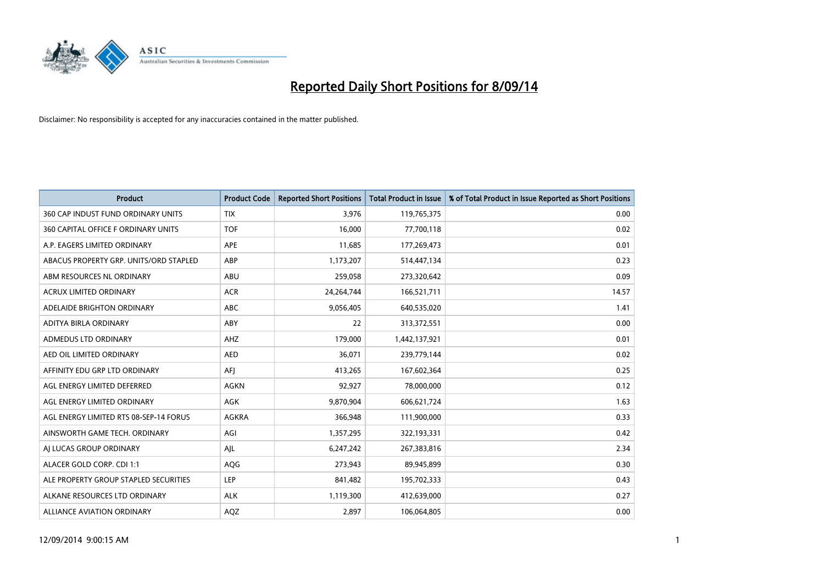

| <b>Product</b>                         | <b>Product Code</b> | <b>Reported Short Positions</b> | <b>Total Product in Issue</b> | % of Total Product in Issue Reported as Short Positions |
|----------------------------------------|---------------------|---------------------------------|-------------------------------|---------------------------------------------------------|
| 360 CAP INDUST FUND ORDINARY UNITS     | <b>TIX</b>          | 3,976                           | 119,765,375                   | 0.00                                                    |
| 360 CAPITAL OFFICE F ORDINARY UNITS    | <b>TOF</b>          | 16,000                          | 77,700,118                    | 0.02                                                    |
| A.P. EAGERS LIMITED ORDINARY           | APE                 | 11,685                          | 177,269,473                   | 0.01                                                    |
| ABACUS PROPERTY GRP. UNITS/ORD STAPLED | ABP                 | 1,173,207                       | 514,447,134                   | 0.23                                                    |
| ABM RESOURCES NL ORDINARY              | ABU                 | 259,058                         | 273,320,642                   | 0.09                                                    |
| ACRUX LIMITED ORDINARY                 | <b>ACR</b>          | 24,264,744                      | 166,521,711                   | 14.57                                                   |
| ADELAIDE BRIGHTON ORDINARY             | <b>ABC</b>          | 9,056,405                       | 640,535,020                   | 1.41                                                    |
| ADITYA BIRLA ORDINARY                  | ABY                 | 22                              | 313,372,551                   | 0.00                                                    |
| ADMEDUS LTD ORDINARY                   | AHZ                 | 179,000                         | 1,442,137,921                 | 0.01                                                    |
| AED OIL LIMITED ORDINARY               | <b>AED</b>          | 36,071                          | 239,779,144                   | 0.02                                                    |
| AFFINITY EDU GRP LTD ORDINARY          | AFI                 | 413,265                         | 167,602,364                   | 0.25                                                    |
| AGL ENERGY LIMITED DEFERRED            | <b>AGKN</b>         | 92,927                          | 78,000,000                    | 0.12                                                    |
| AGL ENERGY LIMITED ORDINARY            | AGK                 | 9,870,904                       | 606,621,724                   | 1.63                                                    |
| AGL ENERGY LIMITED RTS 08-SEP-14 FORUS | AGKRA               | 366,948                         | 111,900,000                   | 0.33                                                    |
| AINSWORTH GAME TECH. ORDINARY          | AGI                 | 1,357,295                       | 322,193,331                   | 0.42                                                    |
| AI LUCAS GROUP ORDINARY                | AJL                 | 6,247,242                       | 267,383,816                   | 2.34                                                    |
| ALACER GOLD CORP. CDI 1:1              | AQG                 | 273,943                         | 89,945,899                    | 0.30                                                    |
| ALE PROPERTY GROUP STAPLED SECURITIES  | LEP                 | 841,482                         | 195,702,333                   | 0.43                                                    |
| ALKANE RESOURCES LTD ORDINARY          | <b>ALK</b>          | 1,119,300                       | 412,639,000                   | 0.27                                                    |
| ALLIANCE AVIATION ORDINARY             | AQZ                 | 2,897                           | 106,064,805                   | 0.00                                                    |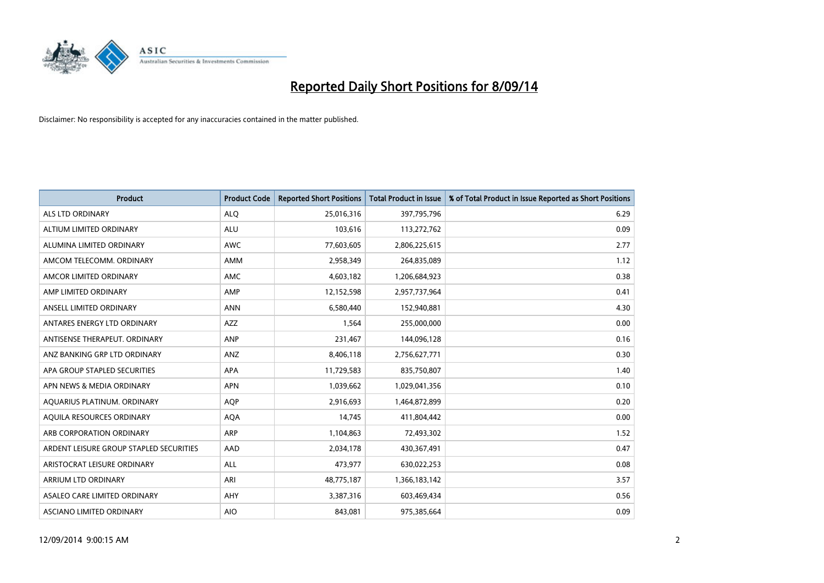

| <b>Product</b>                          | <b>Product Code</b> | <b>Reported Short Positions</b> | <b>Total Product in Issue</b> | % of Total Product in Issue Reported as Short Positions |
|-----------------------------------------|---------------------|---------------------------------|-------------------------------|---------------------------------------------------------|
| ALS LTD ORDINARY                        | <b>ALQ</b>          | 25,016,316                      | 397,795,796                   | 6.29                                                    |
| ALTIUM LIMITED ORDINARY                 | ALU                 | 103,616                         | 113,272,762                   | 0.09                                                    |
| ALUMINA LIMITED ORDINARY                | <b>AWC</b>          | 77,603,605                      | 2,806,225,615                 | 2.77                                                    |
| AMCOM TELECOMM, ORDINARY                | AMM                 | 2,958,349                       | 264,835,089                   | 1.12                                                    |
| AMCOR LIMITED ORDINARY                  | AMC                 | 4,603,182                       | 1,206,684,923                 | 0.38                                                    |
| AMP LIMITED ORDINARY                    | AMP                 | 12,152,598                      | 2,957,737,964                 | 0.41                                                    |
| ANSELL LIMITED ORDINARY                 | <b>ANN</b>          | 6,580,440                       | 152,940,881                   | 4.30                                                    |
| ANTARES ENERGY LTD ORDINARY             | AZZ                 | 1,564                           | 255,000,000                   | 0.00                                                    |
| ANTISENSE THERAPEUT, ORDINARY           | ANP                 | 231,467                         | 144,096,128                   | 0.16                                                    |
| ANZ BANKING GRP LTD ORDINARY            | ANZ                 | 8,406,118                       | 2,756,627,771                 | 0.30                                                    |
| APA GROUP STAPLED SECURITIES            | APA                 | 11,729,583                      | 835,750,807                   | 1.40                                                    |
| APN NEWS & MEDIA ORDINARY               | <b>APN</b>          | 1,039,662                       | 1,029,041,356                 | 0.10                                                    |
| AQUARIUS PLATINUM. ORDINARY             | <b>AOP</b>          | 2,916,693                       | 1,464,872,899                 | 0.20                                                    |
| AOUILA RESOURCES ORDINARY               | <b>AQA</b>          | 14,745                          | 411,804,442                   | 0.00                                                    |
| ARB CORPORATION ORDINARY                | ARP                 | 1,104,863                       | 72,493,302                    | 1.52                                                    |
| ARDENT LEISURE GROUP STAPLED SECURITIES | AAD                 | 2,034,178                       | 430,367,491                   | 0.47                                                    |
| ARISTOCRAT LEISURE ORDINARY             | ALL                 | 473,977                         | 630,022,253                   | 0.08                                                    |
| ARRIUM LTD ORDINARY                     | ARI                 | 48,775,187                      | 1,366,183,142                 | 3.57                                                    |
| ASALEO CARE LIMITED ORDINARY            | AHY                 | 3,387,316                       | 603,469,434                   | 0.56                                                    |
| ASCIANO LIMITED ORDINARY                | <b>AIO</b>          | 843,081                         | 975,385,664                   | 0.09                                                    |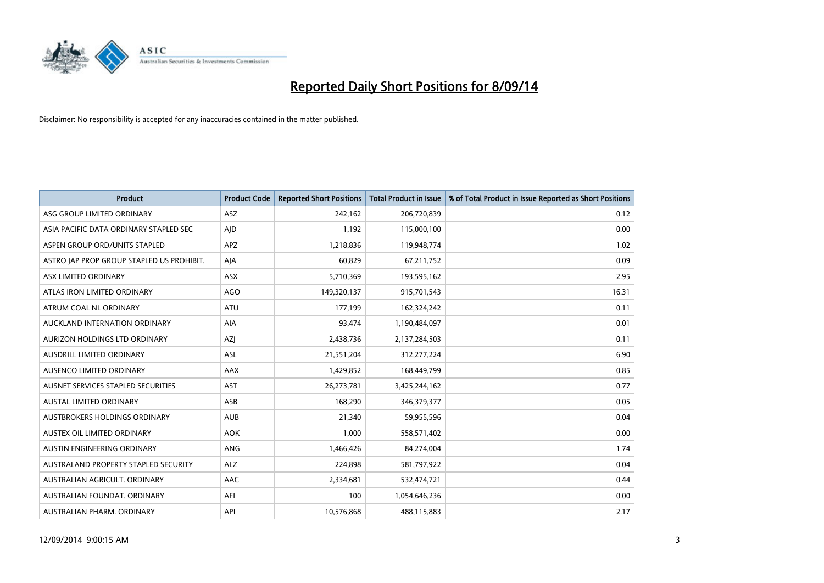

| <b>Product</b>                            | <b>Product Code</b> | <b>Reported Short Positions</b> | <b>Total Product in Issue</b> | % of Total Product in Issue Reported as Short Positions |
|-------------------------------------------|---------------------|---------------------------------|-------------------------------|---------------------------------------------------------|
| ASG GROUP LIMITED ORDINARY                | <b>ASZ</b>          | 242,162                         | 206,720,839                   | 0.12                                                    |
| ASIA PACIFIC DATA ORDINARY STAPLED SEC    | AJD                 | 1,192                           | 115,000,100                   | 0.00                                                    |
| ASPEN GROUP ORD/UNITS STAPLED             | APZ                 | 1,218,836                       | 119,948,774                   | 1.02                                                    |
| ASTRO JAP PROP GROUP STAPLED US PROHIBIT. | AJA                 | 60,829                          | 67,211,752                    | 0.09                                                    |
| ASX LIMITED ORDINARY                      | ASX                 | 5,710,369                       | 193,595,162                   | 2.95                                                    |
| ATLAS IRON LIMITED ORDINARY               | AGO                 | 149,320,137                     | 915,701,543                   | 16.31                                                   |
| ATRUM COAL NL ORDINARY                    | ATU                 | 177,199                         | 162,324,242                   | 0.11                                                    |
| AUCKLAND INTERNATION ORDINARY             | AIA                 | 93,474                          | 1,190,484,097                 | 0.01                                                    |
| AURIZON HOLDINGS LTD ORDINARY             | AZJ                 | 2,438,736                       | 2,137,284,503                 | 0.11                                                    |
| AUSDRILL LIMITED ORDINARY                 | <b>ASL</b>          | 21,551,204                      | 312,277,224                   | 6.90                                                    |
| AUSENCO LIMITED ORDINARY                  | AAX                 | 1,429,852                       | 168,449,799                   | 0.85                                                    |
| AUSNET SERVICES STAPLED SECURITIES        | <b>AST</b>          | 26,273,781                      | 3,425,244,162                 | 0.77                                                    |
| <b>AUSTAL LIMITED ORDINARY</b>            | ASB                 | 168,290                         | 346,379,377                   | 0.05                                                    |
| AUSTBROKERS HOLDINGS ORDINARY             | <b>AUB</b>          | 21,340                          | 59,955,596                    | 0.04                                                    |
| AUSTEX OIL LIMITED ORDINARY               | <b>AOK</b>          | 1,000                           | 558,571,402                   | 0.00                                                    |
| AUSTIN ENGINEERING ORDINARY               | ANG                 | 1,466,426                       | 84,274,004                    | 1.74                                                    |
| AUSTRALAND PROPERTY STAPLED SECURITY      | <b>ALZ</b>          | 224,898                         | 581,797,922                   | 0.04                                                    |
| AUSTRALIAN AGRICULT. ORDINARY             | AAC                 | 2,334,681                       | 532,474,721                   | 0.44                                                    |
| AUSTRALIAN FOUNDAT, ORDINARY              | AFI                 | 100                             | 1,054,646,236                 | 0.00                                                    |
| AUSTRALIAN PHARM. ORDINARY                | API                 | 10,576,868                      | 488,115,883                   | 2.17                                                    |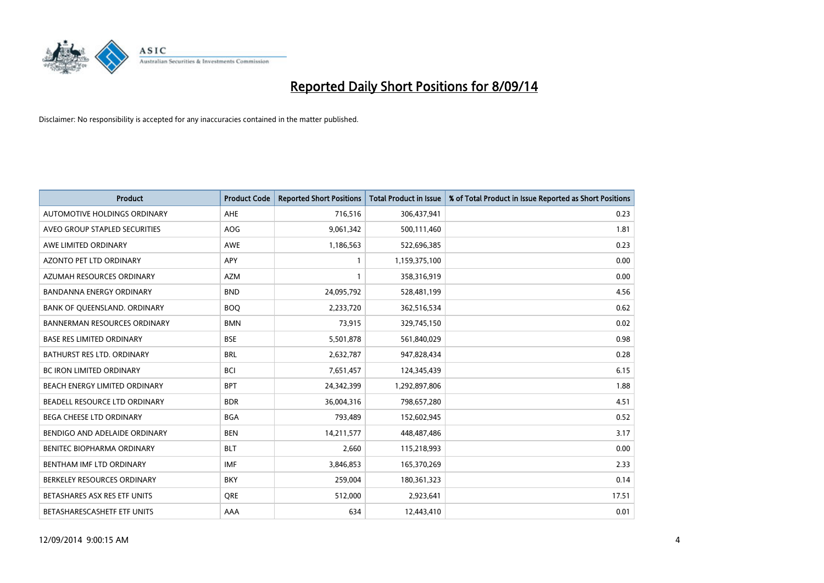

| <b>Product</b>                      | <b>Product Code</b> | <b>Reported Short Positions</b> | <b>Total Product in Issue</b> | % of Total Product in Issue Reported as Short Positions |
|-------------------------------------|---------------------|---------------------------------|-------------------------------|---------------------------------------------------------|
| AUTOMOTIVE HOLDINGS ORDINARY        | AHE                 | 716,516                         | 306,437,941                   | 0.23                                                    |
| AVEO GROUP STAPLED SECURITIES       | AOG                 | 9,061,342                       | 500,111,460                   | 1.81                                                    |
| AWE LIMITED ORDINARY                | <b>AWE</b>          | 1,186,563                       | 522,696,385                   | 0.23                                                    |
| AZONTO PET LTD ORDINARY             | APY                 | 1                               | 1,159,375,100                 | 0.00                                                    |
| AZUMAH RESOURCES ORDINARY           | <b>AZM</b>          | 1                               | 358,316,919                   | 0.00                                                    |
| <b>BANDANNA ENERGY ORDINARY</b>     | <b>BND</b>          | 24,095,792                      | 528,481,199                   | 4.56                                                    |
| BANK OF QUEENSLAND. ORDINARY        | <b>BOQ</b>          | 2,233,720                       | 362,516,534                   | 0.62                                                    |
| <b>BANNERMAN RESOURCES ORDINARY</b> | <b>BMN</b>          | 73,915                          | 329,745,150                   | 0.02                                                    |
| <b>BASE RES LIMITED ORDINARY</b>    | <b>BSE</b>          | 5,501,878                       | 561,840,029                   | 0.98                                                    |
| <b>BATHURST RES LTD. ORDINARY</b>   | <b>BRL</b>          | 2,632,787                       | 947,828,434                   | 0.28                                                    |
| BC IRON LIMITED ORDINARY            | <b>BCI</b>          | 7,651,457                       | 124,345,439                   | 6.15                                                    |
| BEACH ENERGY LIMITED ORDINARY       | <b>BPT</b>          | 24,342,399                      | 1,292,897,806                 | 1.88                                                    |
| BEADELL RESOURCE LTD ORDINARY       | <b>BDR</b>          | 36,004,316                      | 798,657,280                   | 4.51                                                    |
| BEGA CHEESE LTD ORDINARY            | <b>BGA</b>          | 793,489                         | 152,602,945                   | 0.52                                                    |
| BENDIGO AND ADELAIDE ORDINARY       | <b>BEN</b>          | 14,211,577                      | 448,487,486                   | 3.17                                                    |
| BENITEC BIOPHARMA ORDINARY          | <b>BLT</b>          | 2,660                           | 115,218,993                   | 0.00                                                    |
| BENTHAM IMF LTD ORDINARY            | <b>IMF</b>          | 3,846,853                       | 165,370,269                   | 2.33                                                    |
| BERKELEY RESOURCES ORDINARY         | <b>BKY</b>          | 259,004                         | 180,361,323                   | 0.14                                                    |
| BETASHARES ASX RES ETF UNITS        | <b>ORE</b>          | 512,000                         | 2,923,641                     | 17.51                                                   |
| BETASHARESCASHETF ETF UNITS         | AAA                 | 634                             | 12,443,410                    | 0.01                                                    |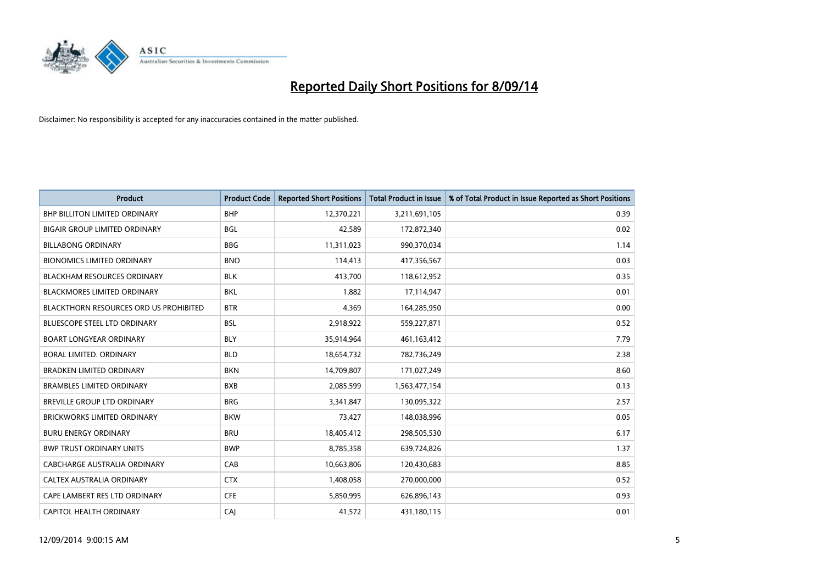

| <b>Product</b>                                | <b>Product Code</b> | <b>Reported Short Positions</b> | <b>Total Product in Issue</b> | % of Total Product in Issue Reported as Short Positions |
|-----------------------------------------------|---------------------|---------------------------------|-------------------------------|---------------------------------------------------------|
| <b>BHP BILLITON LIMITED ORDINARY</b>          | <b>BHP</b>          | 12,370,221                      | 3,211,691,105                 | 0.39                                                    |
| <b>BIGAIR GROUP LIMITED ORDINARY</b>          | <b>BGL</b>          | 42,589                          | 172,872,340                   | 0.02                                                    |
| <b>BILLABONG ORDINARY</b>                     | <b>BBG</b>          | 11,311,023                      | 990,370,034                   | 1.14                                                    |
| <b>BIONOMICS LIMITED ORDINARY</b>             | <b>BNO</b>          | 114,413                         | 417,356,567                   | 0.03                                                    |
| <b>BLACKHAM RESOURCES ORDINARY</b>            | <b>BLK</b>          | 413,700                         | 118,612,952                   | 0.35                                                    |
| <b>BLACKMORES LIMITED ORDINARY</b>            | <b>BKL</b>          | 1,882                           | 17,114,947                    | 0.01                                                    |
| <b>BLACKTHORN RESOURCES ORD US PROHIBITED</b> | <b>BTR</b>          | 4,369                           | 164,285,950                   | 0.00                                                    |
| <b>BLUESCOPE STEEL LTD ORDINARY</b>           | <b>BSL</b>          | 2,918,922                       | 559,227,871                   | 0.52                                                    |
| <b>BOART LONGYEAR ORDINARY</b>                | <b>BLY</b>          | 35,914,964                      | 461,163,412                   | 7.79                                                    |
| <b>BORAL LIMITED, ORDINARY</b>                | <b>BLD</b>          | 18,654,732                      | 782,736,249                   | 2.38                                                    |
| <b>BRADKEN LIMITED ORDINARY</b>               | <b>BKN</b>          | 14,709,807                      | 171,027,249                   | 8.60                                                    |
| <b>BRAMBLES LIMITED ORDINARY</b>              | <b>BXB</b>          | 2,085,599                       | 1,563,477,154                 | 0.13                                                    |
| BREVILLE GROUP LTD ORDINARY                   | <b>BRG</b>          | 3,341,847                       | 130,095,322                   | 2.57                                                    |
| <b>BRICKWORKS LIMITED ORDINARY</b>            | <b>BKW</b>          | 73,427                          | 148,038,996                   | 0.05                                                    |
| <b>BURU ENERGY ORDINARY</b>                   | <b>BRU</b>          | 18,405,412                      | 298,505,530                   | 6.17                                                    |
| <b>BWP TRUST ORDINARY UNITS</b>               | <b>BWP</b>          | 8,785,358                       | 639,724,826                   | 1.37                                                    |
| <b>CABCHARGE AUSTRALIA ORDINARY</b>           | CAB                 | 10,663,806                      | 120,430,683                   | 8.85                                                    |
| CALTEX AUSTRALIA ORDINARY                     | <b>CTX</b>          | 1,408,058                       | 270,000,000                   | 0.52                                                    |
| CAPE LAMBERT RES LTD ORDINARY                 | <b>CFE</b>          | 5,850,995                       | 626,896,143                   | 0.93                                                    |
| CAPITOL HEALTH ORDINARY                       | CAJ                 | 41,572                          | 431,180,115                   | 0.01                                                    |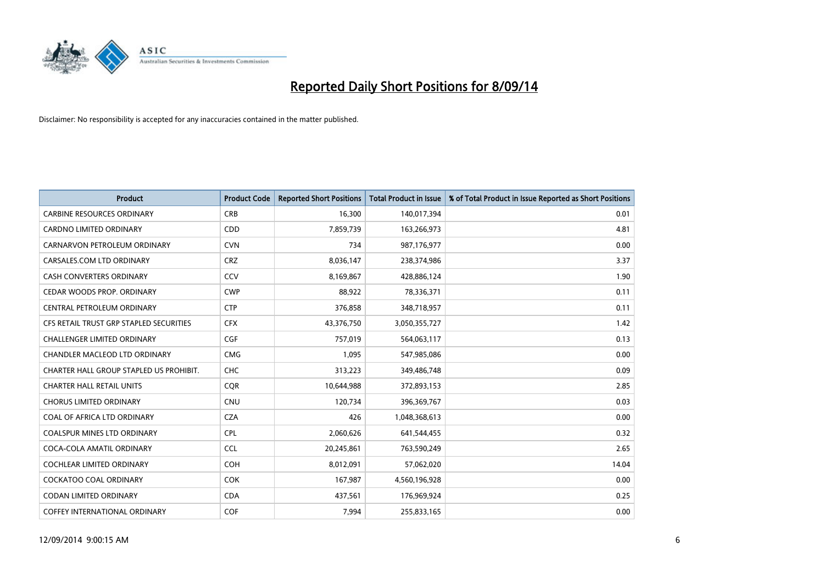

| <b>Product</b>                          | <b>Product Code</b> | <b>Reported Short Positions</b> | <b>Total Product in Issue</b> | % of Total Product in Issue Reported as Short Positions |
|-----------------------------------------|---------------------|---------------------------------|-------------------------------|---------------------------------------------------------|
| <b>CARBINE RESOURCES ORDINARY</b>       | <b>CRB</b>          | 16,300                          | 140,017,394                   | 0.01                                                    |
| <b>CARDNO LIMITED ORDINARY</b>          | <b>CDD</b>          | 7,859,739                       | 163,266,973                   | 4.81                                                    |
| CARNARVON PETROLEUM ORDINARY            | <b>CVN</b>          | 734                             | 987,176,977                   | 0.00                                                    |
| CARSALES.COM LTD ORDINARY               | <b>CRZ</b>          | 8,036,147                       | 238,374,986                   | 3.37                                                    |
| <b>CASH CONVERTERS ORDINARY</b>         | <b>CCV</b>          | 8,169,867                       | 428,886,124                   | 1.90                                                    |
| CEDAR WOODS PROP. ORDINARY              | <b>CWP</b>          | 88,922                          | 78,336,371                    | 0.11                                                    |
| <b>CENTRAL PETROLEUM ORDINARY</b>       | <b>CTP</b>          | 376,858                         | 348,718,957                   | 0.11                                                    |
| CFS RETAIL TRUST GRP STAPLED SECURITIES | <b>CFX</b>          | 43,376,750                      | 3,050,355,727                 | 1.42                                                    |
| <b>CHALLENGER LIMITED ORDINARY</b>      | <b>CGF</b>          | 757,019                         | 564,063,117                   | 0.13                                                    |
| CHANDLER MACLEOD LTD ORDINARY           | <b>CMG</b>          | 1,095                           | 547,985,086                   | 0.00                                                    |
| CHARTER HALL GROUP STAPLED US PROHIBIT. | <b>CHC</b>          | 313,223                         | 349,486,748                   | 0.09                                                    |
| <b>CHARTER HALL RETAIL UNITS</b>        | <b>COR</b>          | 10,644,988                      | 372,893,153                   | 2.85                                                    |
| <b>CHORUS LIMITED ORDINARY</b>          | <b>CNU</b>          | 120,734                         | 396,369,767                   | 0.03                                                    |
| COAL OF AFRICA LTD ORDINARY             | <b>CZA</b>          | 426                             | 1,048,368,613                 | 0.00                                                    |
| COALSPUR MINES LTD ORDINARY             | <b>CPL</b>          | 2,060,626                       | 641,544,455                   | 0.32                                                    |
| COCA-COLA AMATIL ORDINARY               | <b>CCL</b>          | 20,245,861                      | 763,590,249                   | 2.65                                                    |
| COCHLEAR LIMITED ORDINARY               | <b>COH</b>          | 8,012,091                       | 57,062,020                    | 14.04                                                   |
| <b>COCKATOO COAL ORDINARY</b>           | COK                 | 167,987                         | 4,560,196,928                 | 0.00                                                    |
| <b>CODAN LIMITED ORDINARY</b>           | <b>CDA</b>          | 437,561                         | 176,969,924                   | 0.25                                                    |
| <b>COFFEY INTERNATIONAL ORDINARY</b>    | <b>COF</b>          | 7,994                           | 255,833,165                   | 0.00                                                    |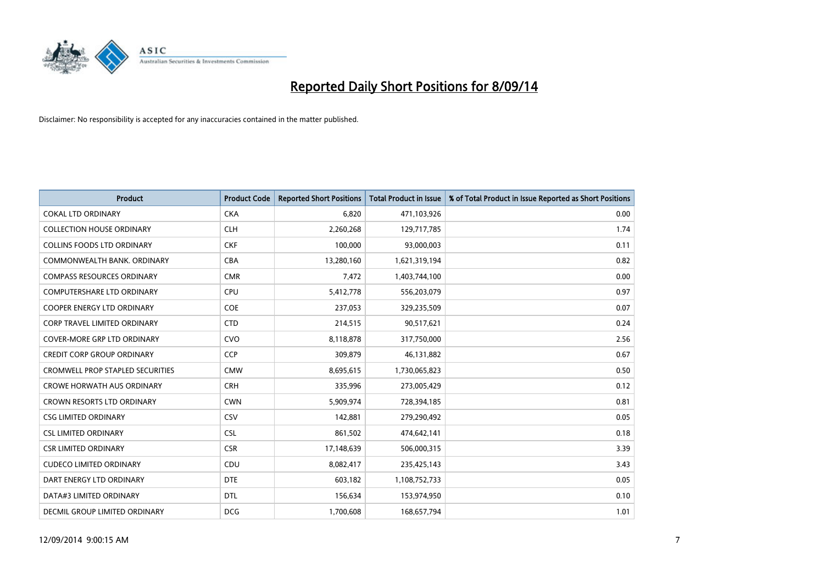

| <b>Product</b>                      | <b>Product Code</b> | <b>Reported Short Positions</b> | <b>Total Product in Issue</b> | % of Total Product in Issue Reported as Short Positions |
|-------------------------------------|---------------------|---------------------------------|-------------------------------|---------------------------------------------------------|
| <b>COKAL LTD ORDINARY</b>           | <b>CKA</b>          | 6,820                           | 471,103,926                   | 0.00                                                    |
| <b>COLLECTION HOUSE ORDINARY</b>    | <b>CLH</b>          | 2,260,268                       | 129,717,785                   | 1.74                                                    |
| <b>COLLINS FOODS LTD ORDINARY</b>   | <b>CKF</b>          | 100,000                         | 93,000,003                    | 0.11                                                    |
| COMMONWEALTH BANK, ORDINARY         | <b>CBA</b>          | 13,280,160                      | 1,621,319,194                 | 0.82                                                    |
| <b>COMPASS RESOURCES ORDINARY</b>   | <b>CMR</b>          | 7,472                           | 1,403,744,100                 | 0.00                                                    |
| <b>COMPUTERSHARE LTD ORDINARY</b>   | <b>CPU</b>          | 5,412,778                       | 556,203,079                   | 0.97                                                    |
| <b>COOPER ENERGY LTD ORDINARY</b>   | <b>COE</b>          | 237,053                         | 329,235,509                   | 0.07                                                    |
| <b>CORP TRAVEL LIMITED ORDINARY</b> | <b>CTD</b>          | 214,515                         | 90,517,621                    | 0.24                                                    |
| <b>COVER-MORE GRP LTD ORDINARY</b>  | <b>CVO</b>          | 8,118,878                       | 317,750,000                   | 2.56                                                    |
| <b>CREDIT CORP GROUP ORDINARY</b>   | CCP                 | 309,879                         | 46,131,882                    | 0.67                                                    |
| CROMWELL PROP STAPLED SECURITIES    | <b>CMW</b>          | 8,695,615                       | 1,730,065,823                 | 0.50                                                    |
| <b>CROWE HORWATH AUS ORDINARY</b>   | <b>CRH</b>          | 335,996                         | 273,005,429                   | 0.12                                                    |
| CROWN RESORTS LTD ORDINARY          | <b>CWN</b>          | 5,909,974                       | 728,394,185                   | 0.81                                                    |
| <b>CSG LIMITED ORDINARY</b>         | CSV                 | 142,881                         | 279,290,492                   | 0.05                                                    |
| <b>CSL LIMITED ORDINARY</b>         | <b>CSL</b>          | 861,502                         | 474,642,141                   | 0.18                                                    |
| <b>CSR LIMITED ORDINARY</b>         | <b>CSR</b>          | 17,148,639                      | 506,000,315                   | 3.39                                                    |
| <b>CUDECO LIMITED ORDINARY</b>      | CDU                 | 8,082,417                       | 235,425,143                   | 3.43                                                    |
| DART ENERGY LTD ORDINARY            | <b>DTE</b>          | 603,182                         | 1,108,752,733                 | 0.05                                                    |
| DATA#3 LIMITED ORDINARY             | <b>DTL</b>          | 156,634                         | 153,974,950                   | 0.10                                                    |
| DECMIL GROUP LIMITED ORDINARY       | <b>DCG</b>          | 1,700,608                       | 168,657,794                   | 1.01                                                    |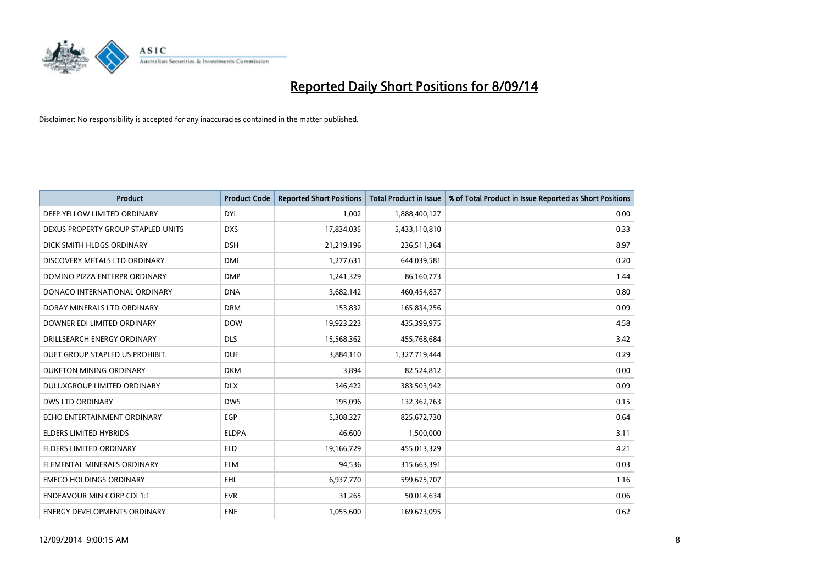

| <b>Product</b>                     | <b>Product Code</b> | <b>Reported Short Positions</b> | <b>Total Product in Issue</b> | % of Total Product in Issue Reported as Short Positions |
|------------------------------------|---------------------|---------------------------------|-------------------------------|---------------------------------------------------------|
| DEEP YELLOW LIMITED ORDINARY       | <b>DYL</b>          | 1,002                           | 1,888,400,127                 | 0.00                                                    |
| DEXUS PROPERTY GROUP STAPLED UNITS | <b>DXS</b>          | 17,834,035                      | 5,433,110,810                 | 0.33                                                    |
| DICK SMITH HLDGS ORDINARY          | <b>DSH</b>          | 21,219,196                      | 236,511,364                   | 8.97                                                    |
| DISCOVERY METALS LTD ORDINARY      | <b>DML</b>          | 1,277,631                       | 644,039,581                   | 0.20                                                    |
| DOMINO PIZZA ENTERPR ORDINARY      | <b>DMP</b>          | 1,241,329                       | 86,160,773                    | 1.44                                                    |
| DONACO INTERNATIONAL ORDINARY      | <b>DNA</b>          | 3,682,142                       | 460,454,837                   | 0.80                                                    |
| DORAY MINERALS LTD ORDINARY        | <b>DRM</b>          | 153,832                         | 165,834,256                   | 0.09                                                    |
| DOWNER EDI LIMITED ORDINARY        | <b>DOW</b>          | 19,923,223                      | 435,399,975                   | 4.58                                                    |
| DRILLSEARCH ENERGY ORDINARY        | <b>DLS</b>          | 15,568,362                      | 455,768,684                   | 3.42                                                    |
| DUET GROUP STAPLED US PROHIBIT.    | <b>DUE</b>          | 3,884,110                       | 1,327,719,444                 | 0.29                                                    |
| DUKETON MINING ORDINARY            | <b>DKM</b>          | 3,894                           | 82,524,812                    | 0.00                                                    |
| <b>DULUXGROUP LIMITED ORDINARY</b> | <b>DLX</b>          | 346,422                         | 383,503,942                   | 0.09                                                    |
| <b>DWS LTD ORDINARY</b>            | <b>DWS</b>          | 195,096                         | 132,362,763                   | 0.15                                                    |
| ECHO ENTERTAINMENT ORDINARY        | <b>EGP</b>          | 5,308,327                       | 825,672,730                   | 0.64                                                    |
| <b>ELDERS LIMITED HYBRIDS</b>      | <b>ELDPA</b>        | 46,600                          | 1,500,000                     | 3.11                                                    |
| ELDERS LIMITED ORDINARY            | <b>ELD</b>          | 19,166,729                      | 455,013,329                   | 4.21                                                    |
| ELEMENTAL MINERALS ORDINARY        | <b>ELM</b>          | 94,536                          | 315,663,391                   | 0.03                                                    |
| <b>EMECO HOLDINGS ORDINARY</b>     | <b>EHL</b>          | 6,937,770                       | 599,675,707                   | 1.16                                                    |
| <b>ENDEAVOUR MIN CORP CDI 1:1</b>  | <b>EVR</b>          | 31,265                          | 50,014,634                    | 0.06                                                    |
| ENERGY DEVELOPMENTS ORDINARY       | <b>ENE</b>          | 1,055,600                       | 169,673,095                   | 0.62                                                    |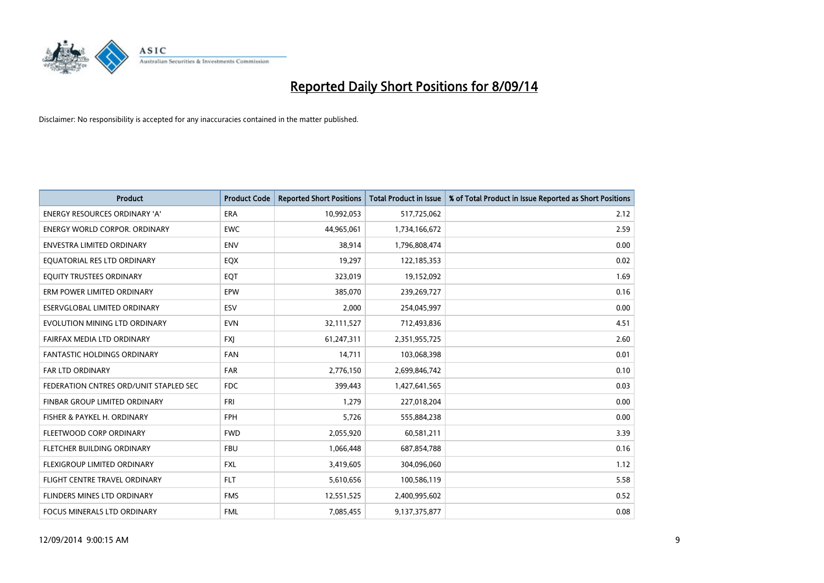

| <b>Product</b>                         | <b>Product Code</b> | <b>Reported Short Positions</b> | <b>Total Product in Issue</b> | % of Total Product in Issue Reported as Short Positions |
|----------------------------------------|---------------------|---------------------------------|-------------------------------|---------------------------------------------------------|
| <b>ENERGY RESOURCES ORDINARY 'A'</b>   | <b>ERA</b>          | 10,992,053                      | 517,725,062                   | 2.12                                                    |
| ENERGY WORLD CORPOR. ORDINARY          | <b>EWC</b>          | 44,965,061                      | 1,734,166,672                 | 2.59                                                    |
| <b>ENVESTRA LIMITED ORDINARY</b>       | <b>ENV</b>          | 38,914                          | 1,796,808,474                 | 0.00                                                    |
| EQUATORIAL RES LTD ORDINARY            | EQX                 | 19,297                          | 122,185,353                   | 0.02                                                    |
| EQUITY TRUSTEES ORDINARY               | EQT                 | 323,019                         | 19,152,092                    | 1.69                                                    |
| ERM POWER LIMITED ORDINARY             | EPW                 | 385,070                         | 239,269,727                   | 0.16                                                    |
| ESERVGLOBAL LIMITED ORDINARY           | ESV                 | 2,000                           | 254,045,997                   | 0.00                                                    |
| EVOLUTION MINING LTD ORDINARY          | <b>EVN</b>          | 32,111,527                      | 712,493,836                   | 4.51                                                    |
| <b>FAIRFAX MEDIA LTD ORDINARY</b>      | <b>FXI</b>          | 61,247,311                      | 2,351,955,725                 | 2.60                                                    |
| <b>FANTASTIC HOLDINGS ORDINARY</b>     | <b>FAN</b>          | 14,711                          | 103,068,398                   | 0.01                                                    |
| <b>FAR LTD ORDINARY</b>                | <b>FAR</b>          | 2,776,150                       | 2,699,846,742                 | 0.10                                                    |
| FEDERATION CNTRES ORD/UNIT STAPLED SEC | <b>FDC</b>          | 399,443                         | 1,427,641,565                 | 0.03                                                    |
| FINBAR GROUP LIMITED ORDINARY          | <b>FRI</b>          | 1,279                           | 227,018,204                   | 0.00                                                    |
| FISHER & PAYKEL H. ORDINARY            | <b>FPH</b>          | 5,726                           | 555,884,238                   | 0.00                                                    |
| FLEETWOOD CORP ORDINARY                | <b>FWD</b>          | 2,055,920                       | 60,581,211                    | 3.39                                                    |
| FLETCHER BUILDING ORDINARY             | <b>FBU</b>          | 1,066,448                       | 687,854,788                   | 0.16                                                    |
| FLEXIGROUP LIMITED ORDINARY            | <b>FXL</b>          | 3,419,605                       | 304,096,060                   | 1.12                                                    |
| FLIGHT CENTRE TRAVEL ORDINARY          | <b>FLT</b>          | 5,610,656                       | 100,586,119                   | 5.58                                                    |
| FLINDERS MINES LTD ORDINARY            | <b>FMS</b>          | 12,551,525                      | 2,400,995,602                 | 0.52                                                    |
| <b>FOCUS MINERALS LTD ORDINARY</b>     | <b>FML</b>          | 7,085,455                       | 9,137,375,877                 | 0.08                                                    |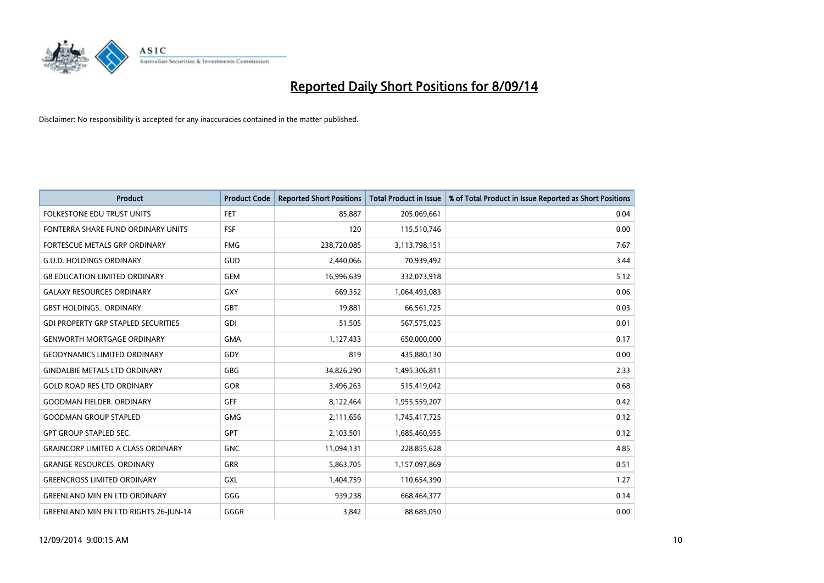

| <b>Product</b>                               | <b>Product Code</b> | <b>Reported Short Positions</b> | <b>Total Product in Issue</b> | % of Total Product in Issue Reported as Short Positions |
|----------------------------------------------|---------------------|---------------------------------|-------------------------------|---------------------------------------------------------|
| <b>FOLKESTONE EDU TRUST UNITS</b>            | <b>FET</b>          | 85,887                          | 205,069,661                   | 0.04                                                    |
| FONTERRA SHARE FUND ORDINARY UNITS           | <b>FSF</b>          | 120                             | 115,510,746                   | 0.00                                                    |
| <b>FORTESCUE METALS GRP ORDINARY</b>         | <b>FMG</b>          | 238,720,085                     | 3,113,798,151                 | 7.67                                                    |
| <b>G.U.D. HOLDINGS ORDINARY</b>              | GUD                 | 2,440,066                       | 70,939,492                    | 3.44                                                    |
| <b>G8 EDUCATION LIMITED ORDINARY</b>         | <b>GEM</b>          | 16,996,639                      | 332,073,918                   | 5.12                                                    |
| <b>GALAXY RESOURCES ORDINARY</b>             | <b>GXY</b>          | 669,352                         | 1,064,493,083                 | 0.06                                                    |
| <b>GBST HOLDINGS ORDINARY</b>                | GBT                 | 19,881                          | 66,561,725                    | 0.03                                                    |
| <b>GDI PROPERTY GRP STAPLED SECURITIES</b>   | GDI                 | 51,505                          | 567,575,025                   | 0.01                                                    |
| <b>GENWORTH MORTGAGE ORDINARY</b>            | <b>GMA</b>          | 1,127,433                       | 650,000,000                   | 0.17                                                    |
| <b>GEODYNAMICS LIMITED ORDINARY</b>          | GDY                 | 819                             | 435,880,130                   | 0.00                                                    |
| <b>GINDALBIE METALS LTD ORDINARY</b>         | GBG                 | 34,826,290                      | 1,495,306,811                 | 2.33                                                    |
| <b>GOLD ROAD RES LTD ORDINARY</b>            | GOR                 | 3,496,263                       | 515,419,042                   | 0.68                                                    |
| <b>GOODMAN FIELDER. ORDINARY</b>             | <b>GFF</b>          | 8,122,464                       | 1,955,559,207                 | 0.42                                                    |
| <b>GOODMAN GROUP STAPLED</b>                 | GMG                 | 2,111,656                       | 1,745,417,725                 | 0.12                                                    |
| <b>GPT GROUP STAPLED SEC.</b>                | GPT                 | 2,103,501                       | 1,685,460,955                 | 0.12                                                    |
| <b>GRAINCORP LIMITED A CLASS ORDINARY</b>    | <b>GNC</b>          | 11,094,131                      | 228,855,628                   | 4.85                                                    |
| <b>GRANGE RESOURCES. ORDINARY</b>            | GRR                 | 5,863,705                       | 1,157,097,869                 | 0.51                                                    |
| <b>GREENCROSS LIMITED ORDINARY</b>           | GXL                 | 1,404,759                       | 110,654,390                   | 1.27                                                    |
| <b>GREENLAND MIN EN LTD ORDINARY</b>         | GGG                 | 939,238                         | 668,464,377                   | 0.14                                                    |
| <b>GREENLAND MIN EN LTD RIGHTS 26-JUN-14</b> | GGGR                | 3,842                           | 88,685,050                    | 0.00                                                    |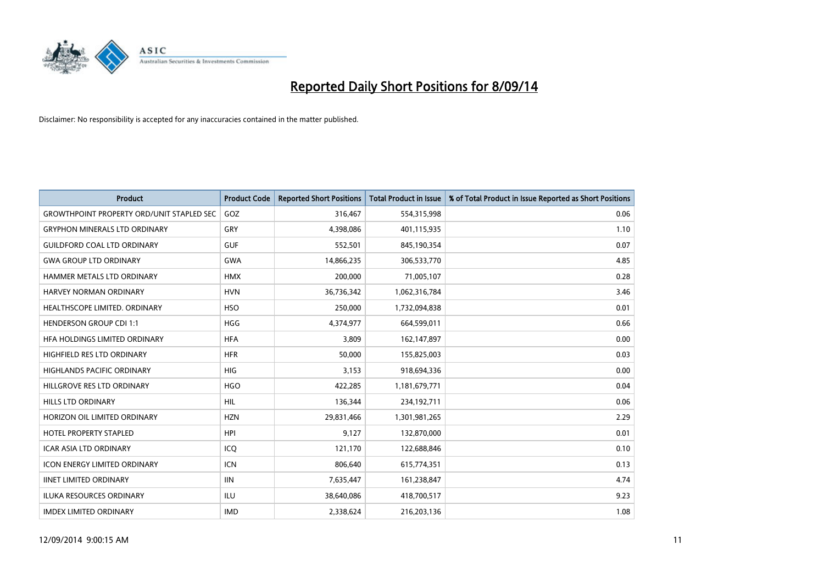

| <b>Product</b>                                   | <b>Product Code</b> | <b>Reported Short Positions</b> | <b>Total Product in Issue</b> | % of Total Product in Issue Reported as Short Positions |
|--------------------------------------------------|---------------------|---------------------------------|-------------------------------|---------------------------------------------------------|
| <b>GROWTHPOINT PROPERTY ORD/UNIT STAPLED SEC</b> | GOZ                 | 316,467                         | 554,315,998                   | 0.06                                                    |
| <b>GRYPHON MINERALS LTD ORDINARY</b>             | GRY                 | 4,398,086                       | 401,115,935                   | 1.10                                                    |
| <b>GUILDFORD COAL LTD ORDINARY</b>               | <b>GUF</b>          | 552,501                         | 845,190,354                   | 0.07                                                    |
| <b>GWA GROUP LTD ORDINARY</b>                    | <b>GWA</b>          | 14,866,235                      | 306,533,770                   | 4.85                                                    |
| HAMMER METALS LTD ORDINARY                       | <b>HMX</b>          | 200,000                         | 71,005,107                    | 0.28                                                    |
| HARVEY NORMAN ORDINARY                           | <b>HVN</b>          | 36,736,342                      | 1,062,316,784                 | 3.46                                                    |
| HEALTHSCOPE LIMITED. ORDINARY                    | <b>HSO</b>          | 250,000                         | 1,732,094,838                 | 0.01                                                    |
| <b>HENDERSON GROUP CDI 1:1</b>                   | <b>HGG</b>          | 4,374,977                       | 664,599,011                   | 0.66                                                    |
| HEA HOLDINGS LIMITED ORDINARY                    | <b>HFA</b>          | 3,809                           | 162,147,897                   | 0.00                                                    |
| HIGHFIELD RES LTD ORDINARY                       | <b>HFR</b>          | 50,000                          | 155,825,003                   | 0.03                                                    |
| <b>HIGHLANDS PACIFIC ORDINARY</b>                | <b>HIG</b>          | 3,153                           | 918,694,336                   | 0.00                                                    |
| HILLGROVE RES LTD ORDINARY                       | <b>HGO</b>          | 422,285                         | 1,181,679,771                 | 0.04                                                    |
| <b>HILLS LTD ORDINARY</b>                        | <b>HIL</b>          | 136,344                         | 234,192,711                   | 0.06                                                    |
| HORIZON OIL LIMITED ORDINARY                     | <b>HZN</b>          | 29,831,466                      | 1,301,981,265                 | 2.29                                                    |
| HOTEL PROPERTY STAPLED                           | <b>HPI</b>          | 9,127                           | 132,870,000                   | 0.01                                                    |
| <b>ICAR ASIA LTD ORDINARY</b>                    | ICQ                 | 121,170                         | 122,688,846                   | 0.10                                                    |
| <b>ICON ENERGY LIMITED ORDINARY</b>              | <b>ICN</b>          | 806,640                         | 615,774,351                   | 0.13                                                    |
| <b>IINET LIMITED ORDINARY</b>                    | <b>IIN</b>          | 7,635,447                       | 161,238,847                   | 4.74                                                    |
| <b>ILUKA RESOURCES ORDINARY</b>                  | ILU                 | 38,640,086                      | 418,700,517                   | 9.23                                                    |
| <b>IMDEX LIMITED ORDINARY</b>                    | <b>IMD</b>          | 2,338,624                       | 216,203,136                   | 1.08                                                    |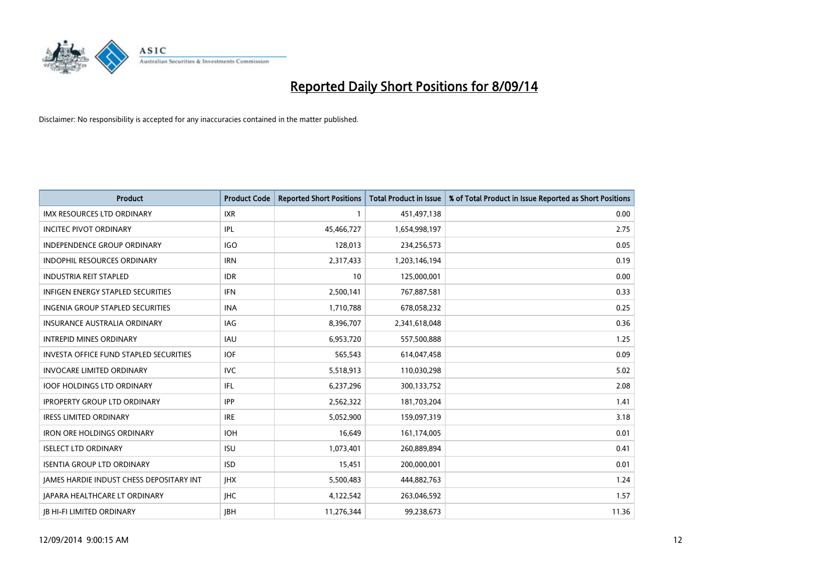

| <b>Product</b>                                | <b>Product Code</b> | <b>Reported Short Positions</b> | <b>Total Product in Issue</b> | % of Total Product in Issue Reported as Short Positions |
|-----------------------------------------------|---------------------|---------------------------------|-------------------------------|---------------------------------------------------------|
| <b>IMX RESOURCES LTD ORDINARY</b>             | <b>IXR</b>          | 1                               | 451,497,138                   | 0.00                                                    |
| <b>INCITEC PIVOT ORDINARY</b>                 | IPL                 | 45,466,727                      | 1,654,998,197                 | 2.75                                                    |
| <b>INDEPENDENCE GROUP ORDINARY</b>            | <b>IGO</b>          | 128,013                         | 234,256,573                   | 0.05                                                    |
| INDOPHIL RESOURCES ORDINARY                   | <b>IRN</b>          | 2,317,433                       | 1,203,146,194                 | 0.19                                                    |
| <b>INDUSTRIA REIT STAPLED</b>                 | <b>IDR</b>          | 10                              | 125,000,001                   | 0.00                                                    |
| <b>INFIGEN ENERGY STAPLED SECURITIES</b>      | <b>IFN</b>          | 2,500,141                       | 767,887,581                   | 0.33                                                    |
| INGENIA GROUP STAPLED SECURITIES              | <b>INA</b>          | 1,710,788                       | 678,058,232                   | 0.25                                                    |
| INSURANCE AUSTRALIA ORDINARY                  | IAG                 | 8,396,707                       | 2,341,618,048                 | 0.36                                                    |
| <b>INTREPID MINES ORDINARY</b>                | <b>IAU</b>          | 6,953,720                       | 557,500,888                   | 1.25                                                    |
| <b>INVESTA OFFICE FUND STAPLED SECURITIES</b> | <b>IOF</b>          | 565,543                         | 614,047,458                   | 0.09                                                    |
| <b>INVOCARE LIMITED ORDINARY</b>              | IVC                 | 5,518,913                       | 110,030,298                   | 5.02                                                    |
| <b>IOOF HOLDINGS LTD ORDINARY</b>             | IFL                 | 6,237,296                       | 300,133,752                   | 2.08                                                    |
| <b>IPROPERTY GROUP LTD ORDINARY</b>           | <b>IPP</b>          | 2,562,322                       | 181,703,204                   | 1.41                                                    |
| <b>IRESS LIMITED ORDINARY</b>                 | <b>IRE</b>          | 5,052,900                       | 159,097,319                   | 3.18                                                    |
| <b>IRON ORE HOLDINGS ORDINARY</b>             | <b>IOH</b>          | 16,649                          | 161,174,005                   | 0.01                                                    |
| <b>ISELECT LTD ORDINARY</b>                   | <b>ISU</b>          | 1,073,401                       | 260,889,894                   | 0.41                                                    |
| <b>ISENTIA GROUP LTD ORDINARY</b>             | <b>ISD</b>          | 15,451                          | 200,000,001                   | 0.01                                                    |
| JAMES HARDIE INDUST CHESS DEPOSITARY INT      | <b>IHX</b>          | 5,500,483                       | 444,882,763                   | 1.24                                                    |
| <b>JAPARA HEALTHCARE LT ORDINARY</b>          | <b>IHC</b>          | 4,122,542                       | 263,046,592                   | 1.57                                                    |
| <b>JB HI-FI LIMITED ORDINARY</b>              | <b>IBH</b>          | 11,276,344                      | 99,238,673                    | 11.36                                                   |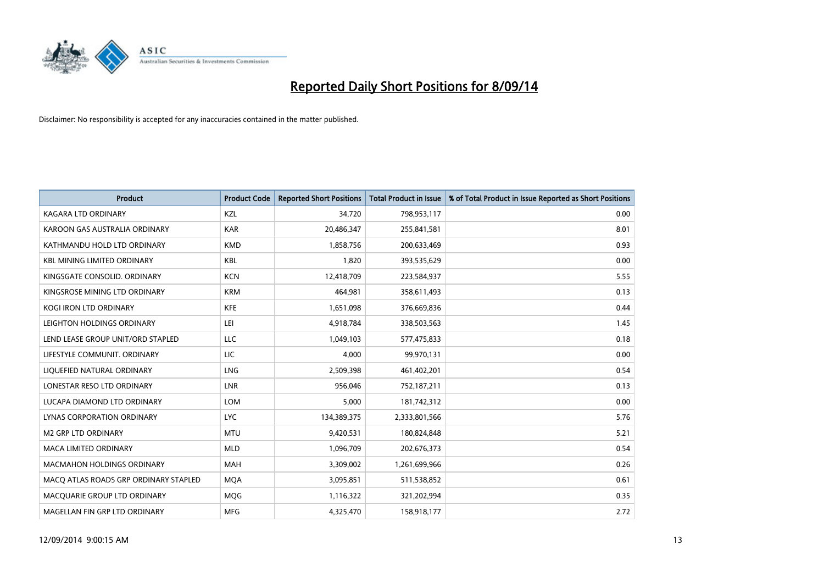

| <b>Product</b>                        | <b>Product Code</b> | <b>Reported Short Positions</b> | <b>Total Product in Issue</b> | % of Total Product in Issue Reported as Short Positions |
|---------------------------------------|---------------------|---------------------------------|-------------------------------|---------------------------------------------------------|
| <b>KAGARA LTD ORDINARY</b>            | KZL                 | 34,720                          | 798,953,117                   | 0.00                                                    |
| KAROON GAS AUSTRALIA ORDINARY         | <b>KAR</b>          | 20,486,347                      | 255,841,581                   | 8.01                                                    |
| KATHMANDU HOLD LTD ORDINARY           | <b>KMD</b>          | 1,858,756                       | 200,633,469                   | 0.93                                                    |
| <b>KBL MINING LIMITED ORDINARY</b>    | <b>KBL</b>          | 1,820                           | 393,535,629                   | 0.00                                                    |
| KINGSGATE CONSOLID, ORDINARY          | <b>KCN</b>          | 12,418,709                      | 223,584,937                   | 5.55                                                    |
| KINGSROSE MINING LTD ORDINARY         | <b>KRM</b>          | 464.981                         | 358,611,493                   | 0.13                                                    |
| <b>KOGI IRON LTD ORDINARY</b>         | <b>KFE</b>          | 1,651,098                       | 376,669,836                   | 0.44                                                    |
| LEIGHTON HOLDINGS ORDINARY            | LEI                 | 4,918,784                       | 338,503,563                   | 1.45                                                    |
| LEND LEASE GROUP UNIT/ORD STAPLED     | <b>LLC</b>          | 1,049,103                       | 577,475,833                   | 0.18                                                    |
| LIFESTYLE COMMUNIT, ORDINARY          | LIC                 | 4,000                           | 99,970,131                    | 0.00                                                    |
| LIQUEFIED NATURAL ORDINARY            | <b>LNG</b>          | 2,509,398                       | 461,402,201                   | 0.54                                                    |
| LONESTAR RESO LTD ORDINARY            | <b>LNR</b>          | 956,046                         | 752,187,211                   | 0.13                                                    |
| LUCAPA DIAMOND LTD ORDINARY           | <b>LOM</b>          | 5,000                           | 181,742,312                   | 0.00                                                    |
| LYNAS CORPORATION ORDINARY            | <b>LYC</b>          | 134,389,375                     | 2,333,801,566                 | 5.76                                                    |
| <b>M2 GRP LTD ORDINARY</b>            | <b>MTU</b>          | 9,420,531                       | 180,824,848                   | 5.21                                                    |
| <b>MACA LIMITED ORDINARY</b>          | <b>MLD</b>          | 1,096,709                       | 202,676,373                   | 0.54                                                    |
| <b>MACMAHON HOLDINGS ORDINARY</b>     | <b>MAH</b>          | 3,309,002                       | 1,261,699,966                 | 0.26                                                    |
| MACO ATLAS ROADS GRP ORDINARY STAPLED | <b>MOA</b>          | 3,095,851                       | 511,538,852                   | 0.61                                                    |
| MACOUARIE GROUP LTD ORDINARY          | <b>MOG</b>          | 1,116,322                       | 321,202,994                   | 0.35                                                    |
| MAGELLAN FIN GRP LTD ORDINARY         | <b>MFG</b>          | 4,325,470                       | 158,918,177                   | 2.72                                                    |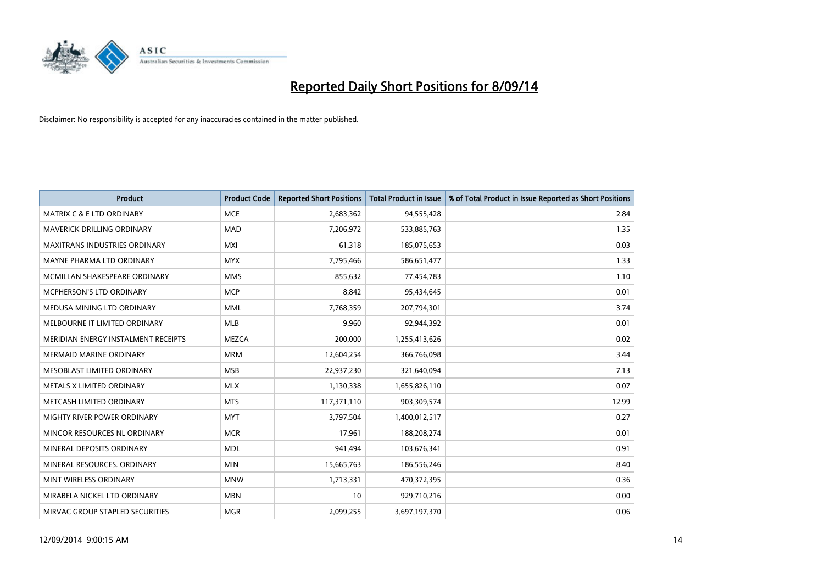

| <b>Product</b>                       | <b>Product Code</b> | <b>Reported Short Positions</b> | <b>Total Product in Issue</b> | % of Total Product in Issue Reported as Short Positions |
|--------------------------------------|---------------------|---------------------------------|-------------------------------|---------------------------------------------------------|
| <b>MATRIX C &amp; E LTD ORDINARY</b> | <b>MCE</b>          | 2,683,362                       | 94,555,428                    | 2.84                                                    |
| MAVERICK DRILLING ORDINARY           | MAD                 | 7,206,972                       | 533,885,763                   | 1.35                                                    |
| <b>MAXITRANS INDUSTRIES ORDINARY</b> | <b>MXI</b>          | 61,318                          | 185,075,653                   | 0.03                                                    |
| MAYNE PHARMA LTD ORDINARY            | <b>MYX</b>          | 7,795,466                       | 586,651,477                   | 1.33                                                    |
| MCMILLAN SHAKESPEARE ORDINARY        | <b>MMS</b>          | 855,632                         | 77,454,783                    | 1.10                                                    |
| <b>MCPHERSON'S LTD ORDINARY</b>      | <b>MCP</b>          | 8,842                           | 95,434,645                    | 0.01                                                    |
| MEDUSA MINING LTD ORDINARY           | <b>MML</b>          | 7,768,359                       | 207,794,301                   | 3.74                                                    |
| MELBOURNE IT LIMITED ORDINARY        | <b>MLB</b>          | 9,960                           | 92,944,392                    | 0.01                                                    |
| MERIDIAN ENERGY INSTALMENT RECEIPTS  | <b>MEZCA</b>        | 200,000                         | 1,255,413,626                 | 0.02                                                    |
| <b>MERMAID MARINE ORDINARY</b>       | <b>MRM</b>          | 12,604,254                      | 366,766,098                   | 3.44                                                    |
| MESOBLAST LIMITED ORDINARY           | <b>MSB</b>          | 22,937,230                      | 321,640,094                   | 7.13                                                    |
| METALS X LIMITED ORDINARY            | <b>MLX</b>          | 1,130,338                       | 1,655,826,110                 | 0.07                                                    |
| METCASH LIMITED ORDINARY             | <b>MTS</b>          | 117,371,110                     | 903,309,574                   | 12.99                                                   |
| MIGHTY RIVER POWER ORDINARY          | <b>MYT</b>          | 3,797,504                       | 1,400,012,517                 | 0.27                                                    |
| MINCOR RESOURCES NL ORDINARY         | <b>MCR</b>          | 17,961                          | 188,208,274                   | 0.01                                                    |
| MINERAL DEPOSITS ORDINARY            | <b>MDL</b>          | 941,494                         | 103,676,341                   | 0.91                                                    |
| MINERAL RESOURCES. ORDINARY          | <b>MIN</b>          | 15,665,763                      | 186,556,246                   | 8.40                                                    |
| MINT WIRELESS ORDINARY               | <b>MNW</b>          | 1,713,331                       | 470,372,395                   | 0.36                                                    |
| MIRABELA NICKEL LTD ORDINARY         | <b>MBN</b>          | 10                              | 929,710,216                   | 0.00                                                    |
| MIRVAC GROUP STAPLED SECURITIES      | <b>MGR</b>          | 2,099,255                       | 3,697,197,370                 | 0.06                                                    |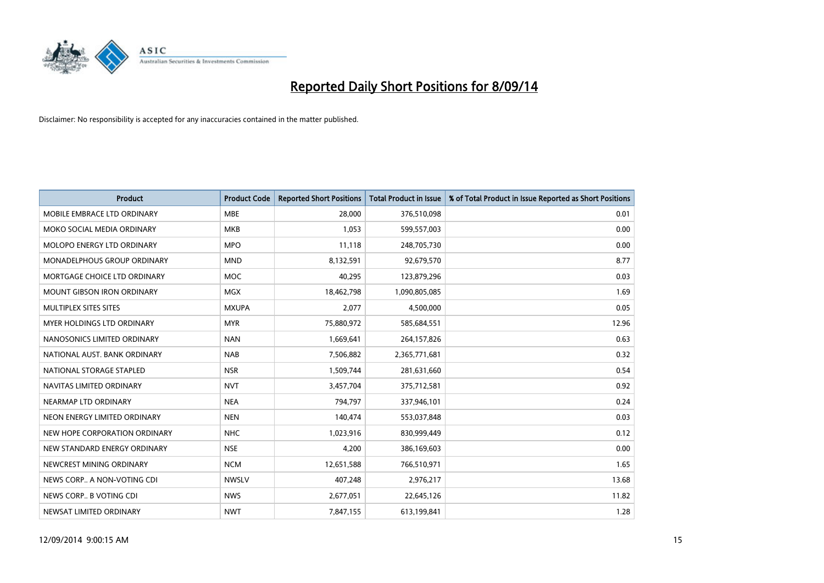

| <b>Product</b>                    | <b>Product Code</b> | <b>Reported Short Positions</b> | <b>Total Product in Issue</b> | % of Total Product in Issue Reported as Short Positions |
|-----------------------------------|---------------------|---------------------------------|-------------------------------|---------------------------------------------------------|
| MOBILE EMBRACE LTD ORDINARY       | <b>MBE</b>          | 28,000                          | 376,510,098                   | 0.01                                                    |
| MOKO SOCIAL MEDIA ORDINARY        | <b>MKB</b>          | 1.053                           | 599,557,003                   | 0.00                                                    |
| MOLOPO ENERGY LTD ORDINARY        | <b>MPO</b>          | 11,118                          | 248,705,730                   | 0.00                                                    |
| MONADELPHOUS GROUP ORDINARY       | <b>MND</b>          | 8,132,591                       | 92,679,570                    | 8.77                                                    |
| MORTGAGE CHOICE LTD ORDINARY      | <b>MOC</b>          | 40,295                          | 123,879,296                   | 0.03                                                    |
| <b>MOUNT GIBSON IRON ORDINARY</b> | MGX                 | 18,462,798                      | 1,090,805,085                 | 1.69                                                    |
| MULTIPLEX SITES SITES             | <b>MXUPA</b>        | 2,077                           | 4,500,000                     | 0.05                                                    |
| MYER HOLDINGS LTD ORDINARY        | <b>MYR</b>          | 75,880,972                      | 585,684,551                   | 12.96                                                   |
| NANOSONICS LIMITED ORDINARY       | <b>NAN</b>          | 1,669,641                       | 264,157,826                   | 0.63                                                    |
| NATIONAL AUST, BANK ORDINARY      | <b>NAB</b>          | 7,506,882                       | 2,365,771,681                 | 0.32                                                    |
| NATIONAL STORAGE STAPLED          | <b>NSR</b>          | 1,509,744                       | 281,631,660                   | 0.54                                                    |
| NAVITAS LIMITED ORDINARY          | <b>NVT</b>          | 3,457,704                       | 375,712,581                   | 0.92                                                    |
| NEARMAP LTD ORDINARY              | <b>NEA</b>          | 794,797                         | 337,946,101                   | 0.24                                                    |
| NEON ENERGY LIMITED ORDINARY      | <b>NEN</b>          | 140,474                         | 553,037,848                   | 0.03                                                    |
| NEW HOPE CORPORATION ORDINARY     | <b>NHC</b>          | 1,023,916                       | 830,999,449                   | 0.12                                                    |
| NEW STANDARD ENERGY ORDINARY      | <b>NSE</b>          | 4,200                           | 386,169,603                   | 0.00                                                    |
| NEWCREST MINING ORDINARY          | <b>NCM</b>          | 12,651,588                      | 766,510,971                   | 1.65                                                    |
| NEWS CORP A NON-VOTING CDI        | <b>NWSLV</b>        | 407,248                         | 2,976,217                     | 13.68                                                   |
| NEWS CORP B VOTING CDI            | <b>NWS</b>          | 2,677,051                       | 22,645,126                    | 11.82                                                   |
| NEWSAT LIMITED ORDINARY           | <b>NWT</b>          | 7,847,155                       | 613,199,841                   | 1.28                                                    |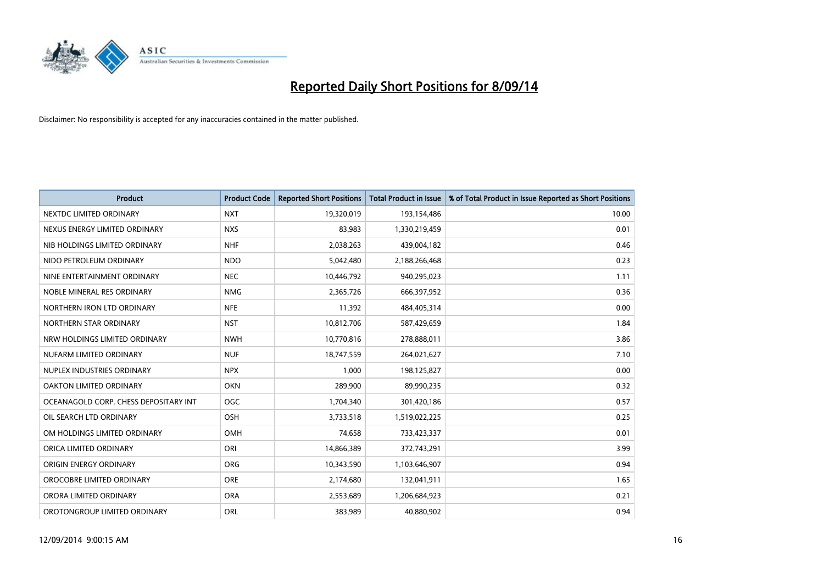

| <b>Product</b>                        | <b>Product Code</b> | <b>Reported Short Positions</b> | <b>Total Product in Issue</b> | % of Total Product in Issue Reported as Short Positions |
|---------------------------------------|---------------------|---------------------------------|-------------------------------|---------------------------------------------------------|
| NEXTDC LIMITED ORDINARY               | <b>NXT</b>          | 19,320,019                      | 193,154,486                   | 10.00                                                   |
| NEXUS ENERGY LIMITED ORDINARY         | <b>NXS</b>          | 83,983                          | 1,330,219,459                 | 0.01                                                    |
| NIB HOLDINGS LIMITED ORDINARY         | <b>NHF</b>          | 2,038,263                       | 439,004,182                   | 0.46                                                    |
| NIDO PETROLEUM ORDINARY               | <b>NDO</b>          | 5,042,480                       | 2,188,266,468                 | 0.23                                                    |
| NINE ENTERTAINMENT ORDINARY           | <b>NEC</b>          | 10,446,792                      | 940,295,023                   | 1.11                                                    |
| NOBLE MINERAL RES ORDINARY            | <b>NMG</b>          | 2,365,726                       | 666,397,952                   | 0.36                                                    |
| NORTHERN IRON LTD ORDINARY            | <b>NFE</b>          | 11,392                          | 484,405,314                   | 0.00                                                    |
| NORTHERN STAR ORDINARY                | <b>NST</b>          | 10,812,706                      | 587,429,659                   | 1.84                                                    |
| NRW HOLDINGS LIMITED ORDINARY         | <b>NWH</b>          | 10,770,816                      | 278,888,011                   | 3.86                                                    |
| NUFARM LIMITED ORDINARY               | <b>NUF</b>          | 18,747,559                      | 264,021,627                   | 7.10                                                    |
| NUPLEX INDUSTRIES ORDINARY            | <b>NPX</b>          | 1,000                           | 198,125,827                   | 0.00                                                    |
| OAKTON LIMITED ORDINARY               | <b>OKN</b>          | 289,900                         | 89,990,235                    | 0.32                                                    |
| OCEANAGOLD CORP. CHESS DEPOSITARY INT | <b>OGC</b>          | 1,704,340                       | 301,420,186                   | 0.57                                                    |
| OIL SEARCH LTD ORDINARY               | OSH                 | 3,733,518                       | 1,519,022,225                 | 0.25                                                    |
| OM HOLDINGS LIMITED ORDINARY          | OMH                 | 74,658                          | 733,423,337                   | 0.01                                                    |
| ORICA LIMITED ORDINARY                | ORI                 | 14,866,389                      | 372,743,291                   | 3.99                                                    |
| ORIGIN ENERGY ORDINARY                | ORG                 | 10,343,590                      | 1,103,646,907                 | 0.94                                                    |
| OROCOBRE LIMITED ORDINARY             | <b>ORE</b>          | 2,174,680                       | 132,041,911                   | 1.65                                                    |
| ORORA LIMITED ORDINARY                | <b>ORA</b>          | 2,553,689                       | 1,206,684,923                 | 0.21                                                    |
| OROTONGROUP LIMITED ORDINARY          | <b>ORL</b>          | 383,989                         | 40,880,902                    | 0.94                                                    |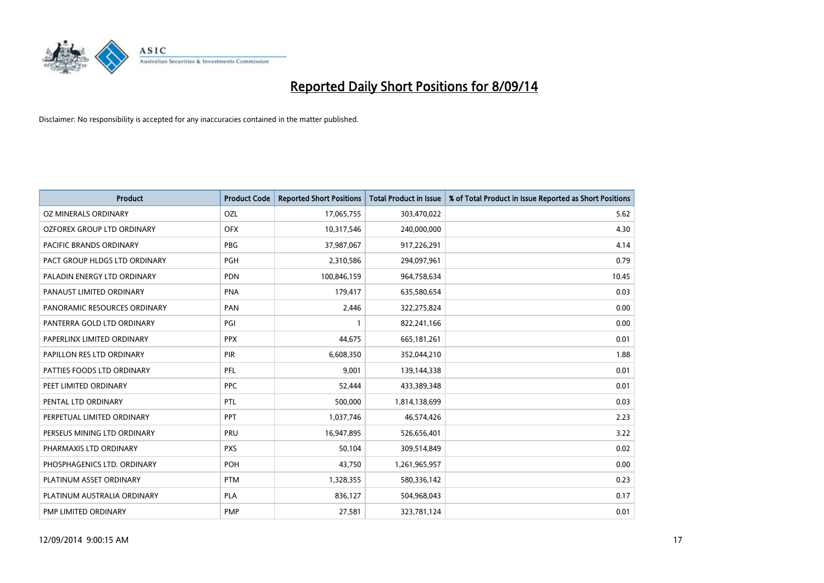

| <b>Product</b>                | <b>Product Code</b> | <b>Reported Short Positions</b> | <b>Total Product in Issue</b> | % of Total Product in Issue Reported as Short Positions |
|-------------------------------|---------------------|---------------------------------|-------------------------------|---------------------------------------------------------|
| <b>OZ MINERALS ORDINARY</b>   | <b>OZL</b>          | 17,065,755                      | 303,470,022                   | 5.62                                                    |
| OZFOREX GROUP LTD ORDINARY    | <b>OFX</b>          | 10,317,546                      | 240,000,000                   | 4.30                                                    |
| PACIFIC BRANDS ORDINARY       | <b>PBG</b>          | 37,987,067                      | 917,226,291                   | 4.14                                                    |
| PACT GROUP HLDGS LTD ORDINARY | <b>PGH</b>          | 2,310,586                       | 294,097,961                   | 0.79                                                    |
| PALADIN ENERGY LTD ORDINARY   | <b>PDN</b>          | 100,846,159                     | 964,758,634                   | 10.45                                                   |
| PANAUST LIMITED ORDINARY      | <b>PNA</b>          | 179,417                         | 635,580,654                   | 0.03                                                    |
| PANORAMIC RESOURCES ORDINARY  | PAN                 | 2,446                           | 322,275,824                   | 0.00                                                    |
| PANTERRA GOLD LTD ORDINARY    | PGI                 | $\mathbf{1}$                    | 822,241,166                   | 0.00                                                    |
| PAPERLINX LIMITED ORDINARY    | <b>PPX</b>          | 44,675                          | 665, 181, 261                 | 0.01                                                    |
| PAPILLON RES LTD ORDINARY     | PIR                 | 6,608,350                       | 352,044,210                   | 1.88                                                    |
| PATTIES FOODS LTD ORDINARY    | PFL                 | 9,001                           | 139,144,338                   | 0.01                                                    |
| PEET LIMITED ORDINARY         | <b>PPC</b>          | 52,444                          | 433,389,348                   | 0.01                                                    |
| PENTAL LTD ORDINARY           | <b>PTL</b>          | 500,000                         | 1,814,138,699                 | 0.03                                                    |
| PERPETUAL LIMITED ORDINARY    | <b>PPT</b>          | 1,037,746                       | 46,574,426                    | 2.23                                                    |
| PERSEUS MINING LTD ORDINARY   | PRU                 | 16,947,895                      | 526,656,401                   | 3.22                                                    |
| PHARMAXIS LTD ORDINARY        | <b>PXS</b>          | 50,104                          | 309,514,849                   | 0.02                                                    |
| PHOSPHAGENICS LTD. ORDINARY   | POH                 | 43,750                          | 1,261,965,957                 | 0.00                                                    |
| PLATINUM ASSET ORDINARY       | <b>PTM</b>          | 1,328,355                       | 580,336,142                   | 0.23                                                    |
| PLATINUM AUSTRALIA ORDINARY   | <b>PLA</b>          | 836,127                         | 504,968,043                   | 0.17                                                    |
| PMP LIMITED ORDINARY          | <b>PMP</b>          | 27,581                          | 323,781,124                   | 0.01                                                    |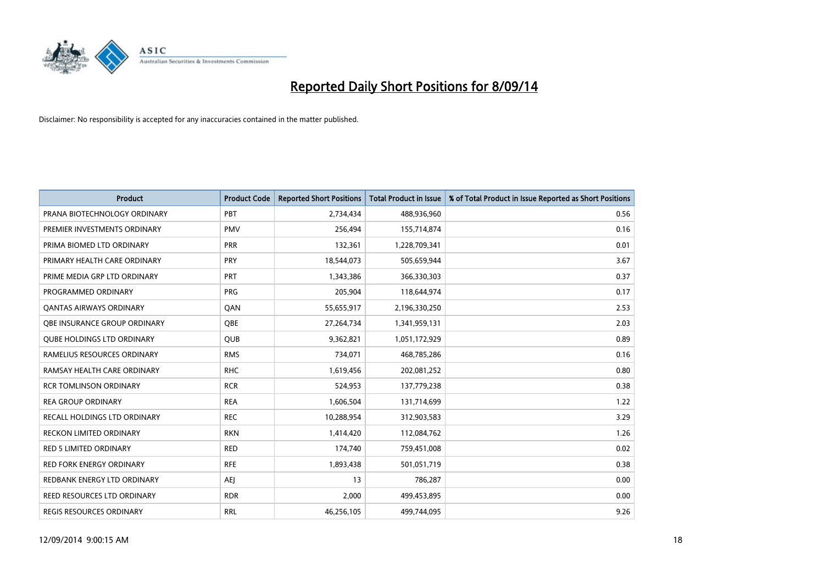

| <b>Product</b>                      | <b>Product Code</b> | <b>Reported Short Positions</b> | <b>Total Product in Issue</b> | % of Total Product in Issue Reported as Short Positions |
|-------------------------------------|---------------------|---------------------------------|-------------------------------|---------------------------------------------------------|
| PRANA BIOTECHNOLOGY ORDINARY        | PBT                 | 2,734,434                       | 488,936,960                   | 0.56                                                    |
| PREMIER INVESTMENTS ORDINARY        | <b>PMV</b>          | 256,494                         | 155,714,874                   | 0.16                                                    |
| PRIMA BIOMED LTD ORDINARY           | <b>PRR</b>          | 132,361                         | 1,228,709,341                 | 0.01                                                    |
| PRIMARY HEALTH CARE ORDINARY        | <b>PRY</b>          | 18,544,073                      | 505,659,944                   | 3.67                                                    |
| PRIME MEDIA GRP LTD ORDINARY        | <b>PRT</b>          | 1,343,386                       | 366,330,303                   | 0.37                                                    |
| PROGRAMMED ORDINARY                 | <b>PRG</b>          | 205,904                         | 118,644,974                   | 0.17                                                    |
| <b>QANTAS AIRWAYS ORDINARY</b>      | QAN                 | 55,655,917                      | 2,196,330,250                 | 2.53                                                    |
| OBE INSURANCE GROUP ORDINARY        | <b>OBE</b>          | 27,264,734                      | 1,341,959,131                 | 2.03                                                    |
| <b>QUBE HOLDINGS LTD ORDINARY</b>   | <b>QUB</b>          | 9,362,821                       | 1,051,172,929                 | 0.89                                                    |
| RAMELIUS RESOURCES ORDINARY         | <b>RMS</b>          | 734,071                         | 468,785,286                   | 0.16                                                    |
| RAMSAY HEALTH CARE ORDINARY         | <b>RHC</b>          | 1,619,456                       | 202,081,252                   | 0.80                                                    |
| <b>RCR TOMLINSON ORDINARY</b>       | <b>RCR</b>          | 524,953                         | 137,779,238                   | 0.38                                                    |
| <b>REA GROUP ORDINARY</b>           | <b>REA</b>          | 1,606,504                       | 131,714,699                   | 1.22                                                    |
| <b>RECALL HOLDINGS LTD ORDINARY</b> | <b>REC</b>          | 10,288,954                      | 312,903,583                   | 3.29                                                    |
| <b>RECKON LIMITED ORDINARY</b>      | <b>RKN</b>          | 1,414,420                       | 112,084,762                   | 1.26                                                    |
| RED 5 LIMITED ORDINARY              | <b>RED</b>          | 174,740                         | 759,451,008                   | 0.02                                                    |
| RED FORK ENERGY ORDINARY            | <b>RFE</b>          | 1,893,438                       | 501,051,719                   | 0.38                                                    |
| REDBANK ENERGY LTD ORDINARY         | AEJ                 | 13                              | 786,287                       | 0.00                                                    |
| <b>REED RESOURCES LTD ORDINARY</b>  | <b>RDR</b>          | 2,000                           | 499,453,895                   | 0.00                                                    |
| REGIS RESOURCES ORDINARY            | <b>RRL</b>          | 46,256,105                      | 499,744,095                   | 9.26                                                    |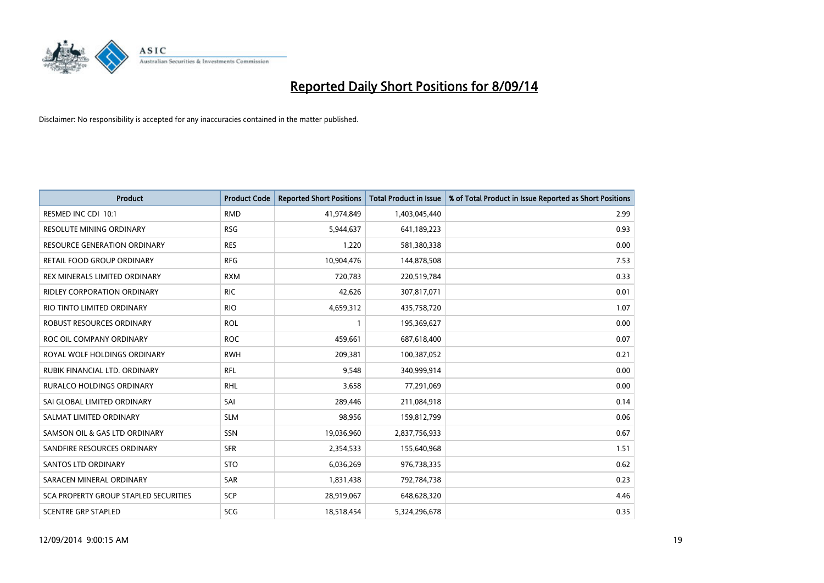

| <b>Product</b>                        | <b>Product Code</b> | <b>Reported Short Positions</b> | <b>Total Product in Issue</b> | % of Total Product in Issue Reported as Short Positions |
|---------------------------------------|---------------------|---------------------------------|-------------------------------|---------------------------------------------------------|
| RESMED INC CDI 10:1                   | <b>RMD</b>          | 41,974,849                      | 1,403,045,440                 | 2.99                                                    |
| RESOLUTE MINING ORDINARY              | <b>RSG</b>          | 5,944,637                       | 641,189,223                   | 0.93                                                    |
| RESOURCE GENERATION ORDINARY          | <b>RES</b>          | 1,220                           | 581,380,338                   | 0.00                                                    |
| RETAIL FOOD GROUP ORDINARY            | <b>RFG</b>          | 10,904,476                      | 144,878,508                   | 7.53                                                    |
| REX MINERALS LIMITED ORDINARY         | <b>RXM</b>          | 720,783                         | 220,519,784                   | 0.33                                                    |
| <b>RIDLEY CORPORATION ORDINARY</b>    | <b>RIC</b>          | 42,626                          | 307,817,071                   | 0.01                                                    |
| RIO TINTO LIMITED ORDINARY            | <b>RIO</b>          | 4,659,312                       | 435,758,720                   | 1.07                                                    |
| ROBUST RESOURCES ORDINARY             | <b>ROL</b>          | $\mathbf{1}$                    | 195,369,627                   | 0.00                                                    |
| ROC OIL COMPANY ORDINARY              | <b>ROC</b>          | 459,661                         | 687,618,400                   | 0.07                                                    |
| ROYAL WOLF HOLDINGS ORDINARY          | <b>RWH</b>          | 209,381                         | 100,387,052                   | 0.21                                                    |
| RUBIK FINANCIAL LTD. ORDINARY         | RFL                 | 9,548                           | 340,999,914                   | 0.00                                                    |
| RURALCO HOLDINGS ORDINARY             | <b>RHL</b>          | 3,658                           | 77,291,069                    | 0.00                                                    |
| SAI GLOBAL LIMITED ORDINARY           | SAI                 | 289,446                         | 211,084,918                   | 0.14                                                    |
| SALMAT LIMITED ORDINARY               | <b>SLM</b>          | 98,956                          | 159,812,799                   | 0.06                                                    |
| SAMSON OIL & GAS LTD ORDINARY         | SSN                 | 19,036,960                      | 2,837,756,933                 | 0.67                                                    |
| SANDFIRE RESOURCES ORDINARY           | <b>SFR</b>          | 2,354,533                       | 155,640,968                   | 1.51                                                    |
| <b>SANTOS LTD ORDINARY</b>            | <b>STO</b>          | 6,036,269                       | 976,738,335                   | 0.62                                                    |
| SARACEN MINERAL ORDINARY              | SAR                 | 1,831,438                       | 792,784,738                   | 0.23                                                    |
| SCA PROPERTY GROUP STAPLED SECURITIES | <b>SCP</b>          | 28,919,067                      | 648,628,320                   | 4.46                                                    |
| <b>SCENTRE GRP STAPLED</b>            | SCG                 | 18,518,454                      | 5,324,296,678                 | 0.35                                                    |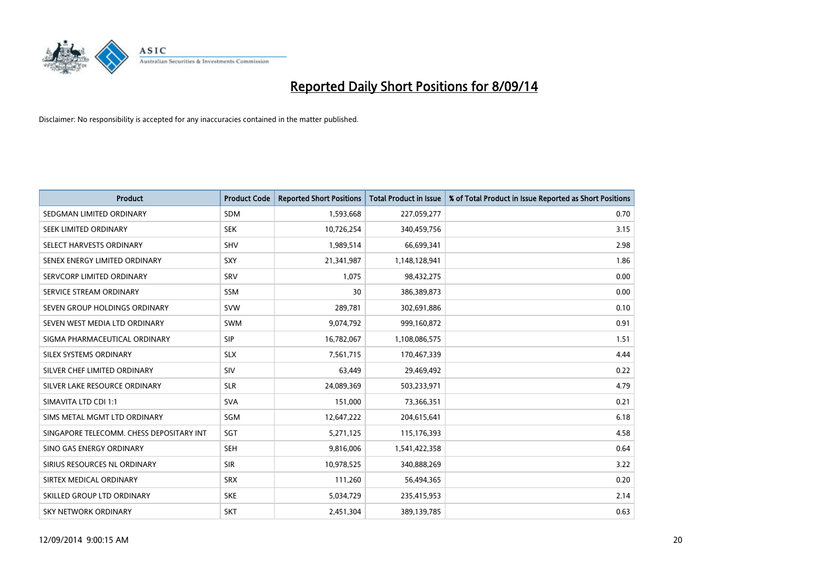

| <b>Product</b>                           | <b>Product Code</b> | <b>Reported Short Positions</b> | <b>Total Product in Issue</b> | % of Total Product in Issue Reported as Short Positions |
|------------------------------------------|---------------------|---------------------------------|-------------------------------|---------------------------------------------------------|
| SEDGMAN LIMITED ORDINARY                 | <b>SDM</b>          | 1,593,668                       | 227,059,277                   | 0.70                                                    |
| SEEK LIMITED ORDINARY                    | <b>SEK</b>          | 10,726,254                      | 340,459,756                   | 3.15                                                    |
| SELECT HARVESTS ORDINARY                 | <b>SHV</b>          | 1,989,514                       | 66,699,341                    | 2.98                                                    |
| SENEX ENERGY LIMITED ORDINARY            | <b>SXY</b>          | 21,341,987                      | 1,148,128,941                 | 1.86                                                    |
| SERVCORP LIMITED ORDINARY                | SRV                 | 1,075                           | 98,432,275                    | 0.00                                                    |
| SERVICE STREAM ORDINARY                  | SSM                 | 30                              | 386,389,873                   | 0.00                                                    |
| SEVEN GROUP HOLDINGS ORDINARY            | <b>SVW</b>          | 289,781                         | 302,691,886                   | 0.10                                                    |
| SEVEN WEST MEDIA LTD ORDINARY            | <b>SWM</b>          | 9,074,792                       | 999,160,872                   | 0.91                                                    |
| SIGMA PHARMACEUTICAL ORDINARY            | <b>SIP</b>          | 16,782,067                      | 1,108,086,575                 | 1.51                                                    |
| SILEX SYSTEMS ORDINARY                   | <b>SLX</b>          | 7,561,715                       | 170,467,339                   | 4.44                                                    |
| SILVER CHEF LIMITED ORDINARY             | <b>SIV</b>          | 63,449                          | 29,469,492                    | 0.22                                                    |
| SILVER LAKE RESOURCE ORDINARY            | <b>SLR</b>          | 24,089,369                      | 503,233,971                   | 4.79                                                    |
| SIMAVITA LTD CDI 1:1                     | <b>SVA</b>          | 151,000                         | 73,366,351                    | 0.21                                                    |
| SIMS METAL MGMT LTD ORDINARY             | SGM                 | 12,647,222                      | 204,615,641                   | 6.18                                                    |
| SINGAPORE TELECOMM. CHESS DEPOSITARY INT | SGT                 | 5,271,125                       | 115,176,393                   | 4.58                                                    |
| SINO GAS ENERGY ORDINARY                 | SEH                 | 9,816,006                       | 1,541,422,358                 | 0.64                                                    |
| SIRIUS RESOURCES NL ORDINARY             | <b>SIR</b>          | 10,978,525                      | 340,888,269                   | 3.22                                                    |
| SIRTEX MEDICAL ORDINARY                  | <b>SRX</b>          | 111,260                         | 56,494,365                    | 0.20                                                    |
| SKILLED GROUP LTD ORDINARY               | <b>SKE</b>          | 5,034,729                       | 235,415,953                   | 2.14                                                    |
| <b>SKY NETWORK ORDINARY</b>              | <b>SKT</b>          | 2,451,304                       | 389,139,785                   | 0.63                                                    |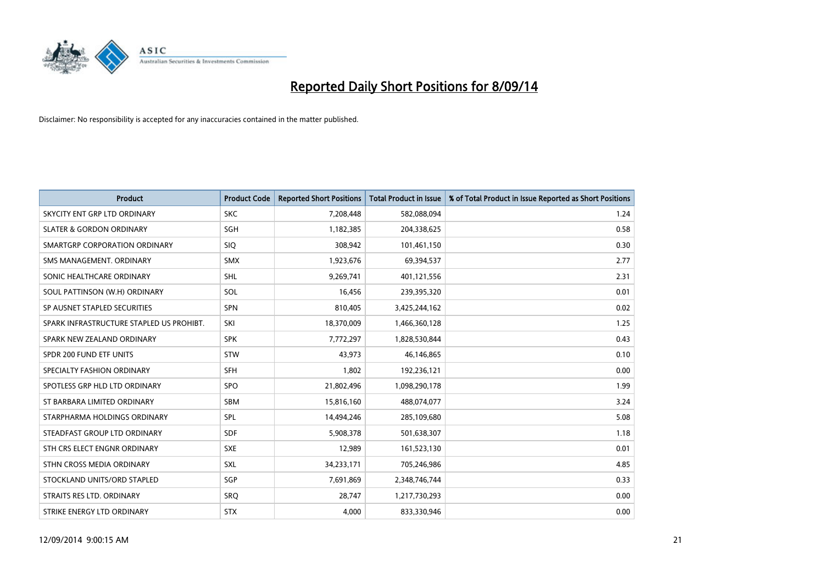

| <b>Product</b>                           | <b>Product Code</b> | <b>Reported Short Positions</b> | <b>Total Product in Issue</b> | % of Total Product in Issue Reported as Short Positions |
|------------------------------------------|---------------------|---------------------------------|-------------------------------|---------------------------------------------------------|
| SKYCITY ENT GRP LTD ORDINARY             | <b>SKC</b>          | 7,208,448                       | 582,088,094                   | 1.24                                                    |
| <b>SLATER &amp; GORDON ORDINARY</b>      | SGH                 | 1,182,385                       | 204,338,625                   | 0.58                                                    |
| SMARTGRP CORPORATION ORDINARY            | <b>SIQ</b>          | 308,942                         | 101,461,150                   | 0.30                                                    |
| SMS MANAGEMENT, ORDINARY                 | <b>SMX</b>          | 1,923,676                       | 69,394,537                    | 2.77                                                    |
| SONIC HEALTHCARE ORDINARY                | SHL                 | 9,269,741                       | 401,121,556                   | 2.31                                                    |
| SOUL PATTINSON (W.H) ORDINARY            | SOL                 | 16,456                          | 239,395,320                   | 0.01                                                    |
| SP AUSNET STAPLED SECURITIES             | <b>SPN</b>          | 810,405                         | 3,425,244,162                 | 0.02                                                    |
| SPARK INFRASTRUCTURE STAPLED US PROHIBT. | SKI                 | 18,370,009                      | 1,466,360,128                 | 1.25                                                    |
| SPARK NEW ZEALAND ORDINARY               | <b>SPK</b>          | 7,772,297                       | 1,828,530,844                 | 0.43                                                    |
| SPDR 200 FUND ETF UNITS                  | <b>STW</b>          | 43,973                          | 46,146,865                    | 0.10                                                    |
| SPECIALTY FASHION ORDINARY               | <b>SFH</b>          | 1,802                           | 192,236,121                   | 0.00                                                    |
| SPOTLESS GRP HLD LTD ORDINARY            | <b>SPO</b>          | 21,802,496                      | 1,098,290,178                 | 1.99                                                    |
| ST BARBARA LIMITED ORDINARY              | <b>SBM</b>          | 15,816,160                      | 488,074,077                   | 3.24                                                    |
| STARPHARMA HOLDINGS ORDINARY             | SPL                 | 14,494,246                      | 285,109,680                   | 5.08                                                    |
| STEADFAST GROUP LTD ORDINARY             | <b>SDF</b>          | 5,908,378                       | 501,638,307                   | 1.18                                                    |
| STH CRS ELECT ENGNR ORDINARY             | <b>SXE</b>          | 12,989                          | 161,523,130                   | 0.01                                                    |
| STHN CROSS MEDIA ORDINARY                | SXL                 | 34,233,171                      | 705,246,986                   | 4.85                                                    |
| STOCKLAND UNITS/ORD STAPLED              | SGP                 | 7,691,869                       | 2,348,746,744                 | 0.33                                                    |
| STRAITS RES LTD. ORDINARY                | <b>SRO</b>          | 28,747                          | 1,217,730,293                 | 0.00                                                    |
| STRIKE ENERGY LTD ORDINARY               | <b>STX</b>          | 4,000                           | 833,330,946                   | 0.00                                                    |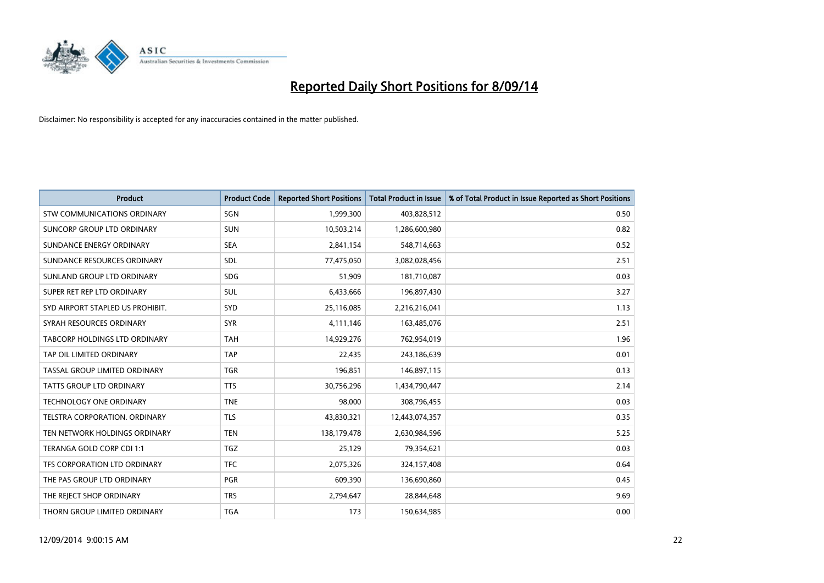

| <b>Product</b>                     | <b>Product Code</b> | <b>Reported Short Positions</b> | <b>Total Product in Issue</b> | % of Total Product in Issue Reported as Short Positions |
|------------------------------------|---------------------|---------------------------------|-------------------------------|---------------------------------------------------------|
| <b>STW COMMUNICATIONS ORDINARY</b> | SGN                 | 1,999,300                       | 403,828,512                   | 0.50                                                    |
| SUNCORP GROUP LTD ORDINARY         | <b>SUN</b>          | 10,503,214                      | 1,286,600,980                 | 0.82                                                    |
| SUNDANCE ENERGY ORDINARY           | <b>SEA</b>          | 2,841,154                       | 548,714,663                   | 0.52                                                    |
| SUNDANCE RESOURCES ORDINARY        | <b>SDL</b>          | 77,475,050                      | 3,082,028,456                 | 2.51                                                    |
| SUNLAND GROUP LTD ORDINARY         | <b>SDG</b>          | 51,909                          | 181,710,087                   | 0.03                                                    |
| SUPER RET REP LTD ORDINARY         | <b>SUL</b>          | 6,433,666                       | 196,897,430                   | 3.27                                                    |
| SYD AIRPORT STAPLED US PROHIBIT.   | <b>SYD</b>          | 25,116,085                      | 2,216,216,041                 | 1.13                                                    |
| SYRAH RESOURCES ORDINARY           | <b>SYR</b>          | 4,111,146                       | 163,485,076                   | 2.51                                                    |
| TABCORP HOLDINGS LTD ORDINARY      | <b>TAH</b>          | 14,929,276                      | 762,954,019                   | 1.96                                                    |
| TAP OIL LIMITED ORDINARY           | <b>TAP</b>          | 22,435                          | 243,186,639                   | 0.01                                                    |
| TASSAL GROUP LIMITED ORDINARY      | <b>TGR</b>          | 196,851                         | 146,897,115                   | 0.13                                                    |
| <b>TATTS GROUP LTD ORDINARY</b>    | <b>TTS</b>          | 30,756,296                      | 1,434,790,447                 | 2.14                                                    |
| TECHNOLOGY ONE ORDINARY            | <b>TNE</b>          | 98,000                          | 308,796,455                   | 0.03                                                    |
| TELSTRA CORPORATION, ORDINARY      | <b>TLS</b>          | 43,830,321                      | 12,443,074,357                | 0.35                                                    |
| TEN NETWORK HOLDINGS ORDINARY      | <b>TEN</b>          | 138,179,478                     | 2,630,984,596                 | 5.25                                                    |
| TERANGA GOLD CORP CDI 1:1          | <b>TGZ</b>          | 25,129                          | 79,354,621                    | 0.03                                                    |
| TFS CORPORATION LTD ORDINARY       | <b>TFC</b>          | 2,075,326                       | 324,157,408                   | 0.64                                                    |
| THE PAS GROUP LTD ORDINARY         | <b>PGR</b>          | 609,390                         | 136,690,860                   | 0.45                                                    |
| THE REJECT SHOP ORDINARY           | <b>TRS</b>          | 2,794,647                       | 28,844,648                    | 9.69                                                    |
| THORN GROUP LIMITED ORDINARY       | <b>TGA</b>          | 173                             | 150,634,985                   | 0.00                                                    |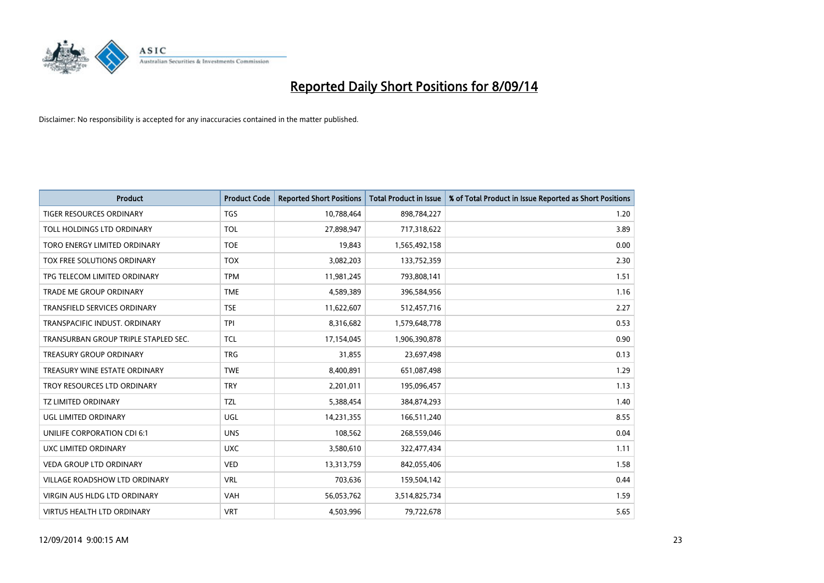

| <b>Product</b>                       | <b>Product Code</b> | <b>Reported Short Positions</b> | <b>Total Product in Issue</b> | % of Total Product in Issue Reported as Short Positions |
|--------------------------------------|---------------------|---------------------------------|-------------------------------|---------------------------------------------------------|
| TIGER RESOURCES ORDINARY             | TGS                 | 10,788,464                      | 898,784,227                   | 1.20                                                    |
| TOLL HOLDINGS LTD ORDINARY           | <b>TOL</b>          | 27,898,947                      | 717,318,622                   | 3.89                                                    |
| TORO ENERGY LIMITED ORDINARY         | <b>TOE</b>          | 19,843                          | 1,565,492,158                 | 0.00                                                    |
| TOX FREE SOLUTIONS ORDINARY          | <b>TOX</b>          | 3,082,203                       | 133,752,359                   | 2.30                                                    |
| TPG TELECOM LIMITED ORDINARY         | <b>TPM</b>          | 11,981,245                      | 793,808,141                   | 1.51                                                    |
| TRADE ME GROUP ORDINARY              | <b>TME</b>          | 4,589,389                       | 396,584,956                   | 1.16                                                    |
| TRANSFIELD SERVICES ORDINARY         | <b>TSE</b>          | 11,622,607                      | 512,457,716                   | 2.27                                                    |
| TRANSPACIFIC INDUST. ORDINARY        | <b>TPI</b>          | 8,316,682                       | 1,579,648,778                 | 0.53                                                    |
| TRANSURBAN GROUP TRIPLE STAPLED SEC. | <b>TCL</b>          | 17,154,045                      | 1,906,390,878                 | 0.90                                                    |
| <b>TREASURY GROUP ORDINARY</b>       | <b>TRG</b>          | 31,855                          | 23,697,498                    | 0.13                                                    |
| TREASURY WINE ESTATE ORDINARY        | <b>TWE</b>          | 8,400,891                       | 651,087,498                   | 1.29                                                    |
| TROY RESOURCES LTD ORDINARY          | <b>TRY</b>          | 2,201,011                       | 195,096,457                   | 1.13                                                    |
| TZ LIMITED ORDINARY                  | TZL                 | 5,388,454                       | 384,874,293                   | 1.40                                                    |
| UGL LIMITED ORDINARY                 | UGL                 | 14,231,355                      | 166,511,240                   | 8.55                                                    |
| UNILIFE CORPORATION CDI 6:1          | <b>UNS</b>          | 108,562                         | 268,559,046                   | 0.04                                                    |
| UXC LIMITED ORDINARY                 | <b>UXC</b>          | 3,580,610                       | 322,477,434                   | 1.11                                                    |
| <b>VEDA GROUP LTD ORDINARY</b>       | <b>VED</b>          | 13,313,759                      | 842,055,406                   | 1.58                                                    |
| VILLAGE ROADSHOW LTD ORDINARY        | <b>VRL</b>          | 703,636                         | 159,504,142                   | 0.44                                                    |
| VIRGIN AUS HLDG LTD ORDINARY         | <b>VAH</b>          | 56,053,762                      | 3,514,825,734                 | 1.59                                                    |
| VIRTUS HEALTH LTD ORDINARY           | <b>VRT</b>          | 4,503,996                       | 79,722,678                    | 5.65                                                    |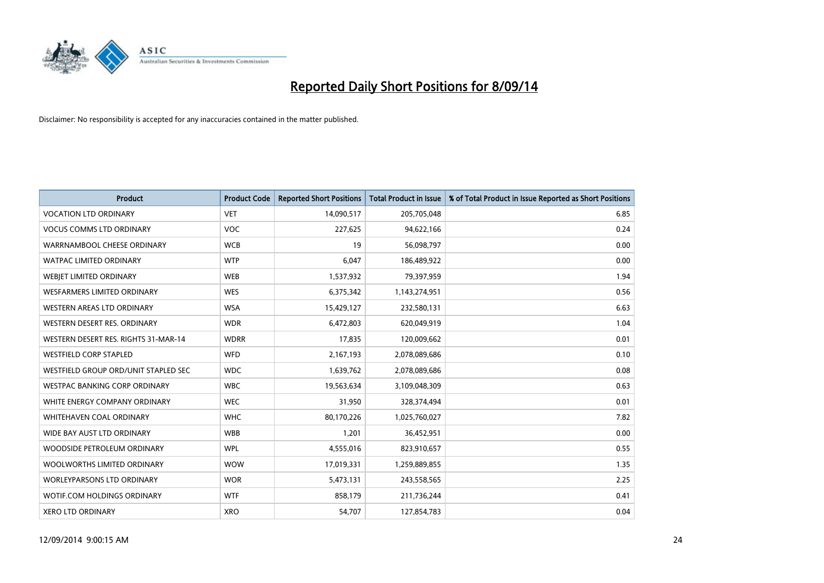

| <b>Product</b>                       | <b>Product Code</b> | <b>Reported Short Positions</b> | <b>Total Product in Issue</b> | % of Total Product in Issue Reported as Short Positions |
|--------------------------------------|---------------------|---------------------------------|-------------------------------|---------------------------------------------------------|
| <b>VOCATION LTD ORDINARY</b>         | <b>VET</b>          | 14,090,517                      | 205,705,048                   | 6.85                                                    |
| <b>VOCUS COMMS LTD ORDINARY</b>      | VOC                 | 227,625                         | 94,622,166                    | 0.24                                                    |
| WARRNAMBOOL CHEESE ORDINARY          | <b>WCB</b>          | 19                              | 56,098,797                    | 0.00                                                    |
| WATPAC LIMITED ORDINARY              | <b>WTP</b>          | 6,047                           | 186,489,922                   | 0.00                                                    |
| WEBJET LIMITED ORDINARY              | <b>WEB</b>          | 1,537,932                       | 79,397,959                    | 1.94                                                    |
| <b>WESFARMERS LIMITED ORDINARY</b>   | <b>WES</b>          | 6,375,342                       | 1,143,274,951                 | 0.56                                                    |
| WESTERN AREAS LTD ORDINARY           | <b>WSA</b>          | 15,429,127                      | 232,580,131                   | 6.63                                                    |
| WESTERN DESERT RES. ORDINARY         | <b>WDR</b>          | 6,472,803                       | 620,049,919                   | 1.04                                                    |
| WESTERN DESERT RES. RIGHTS 31-MAR-14 | <b>WDRR</b>         | 17,835                          | 120,009,662                   | 0.01                                                    |
| <b>WESTFIELD CORP STAPLED</b>        | <b>WFD</b>          | 2,167,193                       | 2,078,089,686                 | 0.10                                                    |
| WESTFIELD GROUP ORD/UNIT STAPLED SEC | <b>WDC</b>          | 1,639,762                       | 2,078,089,686                 | 0.08                                                    |
| WESTPAC BANKING CORP ORDINARY        | <b>WBC</b>          | 19,563,634                      | 3,109,048,309                 | 0.63                                                    |
| WHITE ENERGY COMPANY ORDINARY        | <b>WEC</b>          | 31,950                          | 328,374,494                   | 0.01                                                    |
| WHITEHAVEN COAL ORDINARY             | <b>WHC</b>          | 80,170,226                      | 1,025,760,027                 | 7.82                                                    |
| WIDE BAY AUST LTD ORDINARY           | <b>WBB</b>          | 1,201                           | 36,452,951                    | 0.00                                                    |
| WOODSIDE PETROLEUM ORDINARY          | <b>WPL</b>          | 4,555,016                       | 823,910,657                   | 0.55                                                    |
| WOOLWORTHS LIMITED ORDINARY          | <b>WOW</b>          | 17,019,331                      | 1,259,889,855                 | 1.35                                                    |
| WORLEYPARSONS LTD ORDINARY           | <b>WOR</b>          | 5,473,131                       | 243,558,565                   | 2.25                                                    |
| WOTIF.COM HOLDINGS ORDINARY          | <b>WTF</b>          | 858,179                         | 211,736,244                   | 0.41                                                    |
| <b>XERO LTD ORDINARY</b>             | <b>XRO</b>          | 54,707                          | 127,854,783                   | 0.04                                                    |